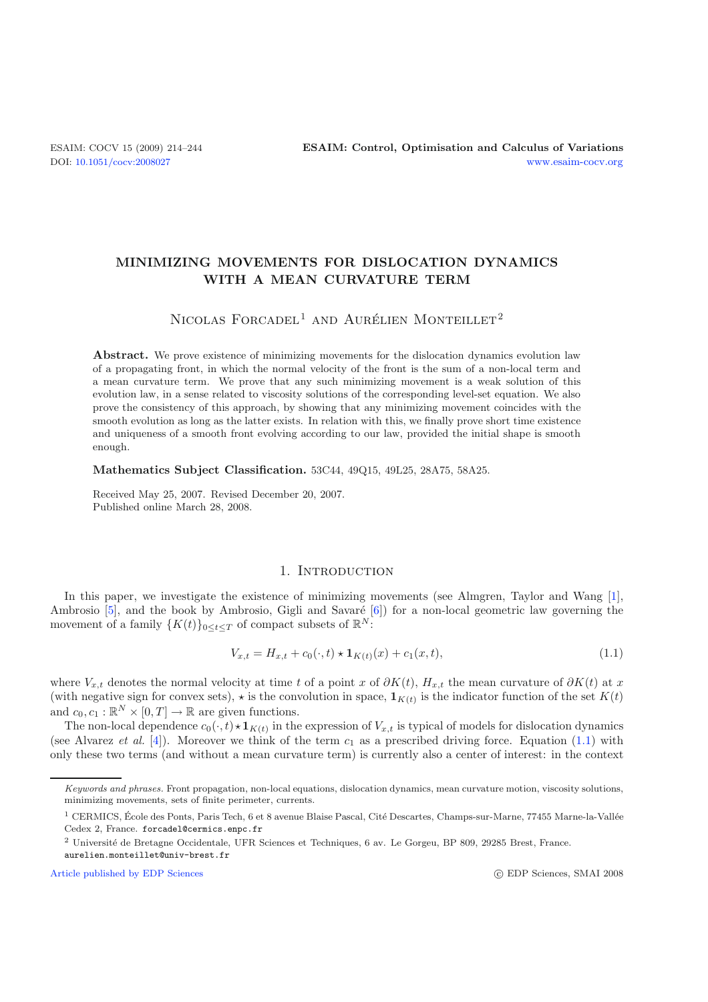## **MINIMIZING MOVEMENTS FOR DISLOCATION DYNAMICS WITH A MEAN CURVATURE TERM**

# NICOLAS FORCADEL<sup>1</sup> AND AURÉLIEN MONTEILLET<sup>2</sup>

Abstract. We prove existence of minimizing movements for the dislocation dynamics evolution law of a propagating front, in which the normal velocity of the front is the sum of a non-local term and a mean curvature term. We prove that any such minimizing movement is a weak solution of this evolution law, in a sense related to viscosity solutions of the corresponding level-set equation. We also prove the consistency of this approach, by showing that any minimizing movement coincides with the smooth evolution as long as the latter exists. In relation with this, we finally prove short time existence and uniqueness of a smooth front evolving according to our law, provided the initial shape is smooth enough.

<span id="page-0-0"></span>**Mathematics Subject Classification.** 53C44, 49Q15, 49L25, 28A75, 58A25.

Received May 25, 2007. Revised December 20, 2007. Published online March 28, 2008.

### 1. INTRODUCTION

In this paper, we investigate the existence of minimizing movements (see Almgren, Taylor and Wang [\[1\]](#page-30-0), Ambrosio  $[5]$ , and the book by Ambrosio, Gigli and Savaré  $[6]$ ) for a non-local geometric law governing the movement of a family  $\{K(t)\}_{0\leq t\leq T}$  of compact subsets of  $\mathbb{R}^N$ :

$$
V_{x,t} = H_{x,t} + c_0(\cdot, t) \star \mathbf{1}_{K(t)}(x) + c_1(x,t),
$$
\n(1.1)

where  $V_{x,t}$  denotes the normal velocity at time t of a point x of  $\partial K(t)$ ,  $H_{x,t}$  the mean curvature of  $\partial K(t)$  at x (with negative sign for convex sets),  $\star$  is the convolution in space,  $\mathbf{1}_{K(t)}$  is the indicator function of the set  $K(t)$ and  $c_0, c_1 : \mathbb{R}^N \times [0, T] \to \mathbb{R}$  are given functions.

The non-local dependence  $c_0(\cdot, t) \star \mathbf{1}_{K(t)}$  in the expression of  $V_{x,t}$  is typical of models for dislocation dynamics (see Alvarez *et al.* [\[4\]](#page-30-3)). Moreover we think of the term  $c_1$  as a prescribed driving force. Equation [\(1.1\)](#page-0-0) with only these two terms (and without a mean curvature term) is currently also a center of interest: in the context

[Article published by EDP Sciences](http://www.edpsciences.org)

Keywords and phrases. Front propagation, non-local equations, dislocation dynamics, mean curvature motion, viscosity solutions, minimizing movements, sets of finite perimeter, currents.

 $1$  CERMICS, École des Ponts, Paris Tech, 6 et 8 avenue Blaise Pascal, Cité Descartes, Champs-sur-Marne, 77455 Marne-la-Vallée Cedex 2, France. forcadel@cermics.enpc.fr

<sup>2</sup> Universit´e de Bretagne Occidentale, UFR Sciences et Techniques, 6 av. Le Gorgeu, BP 809, 29285 Brest, France. aurelien.monteillet@univ-brest.fr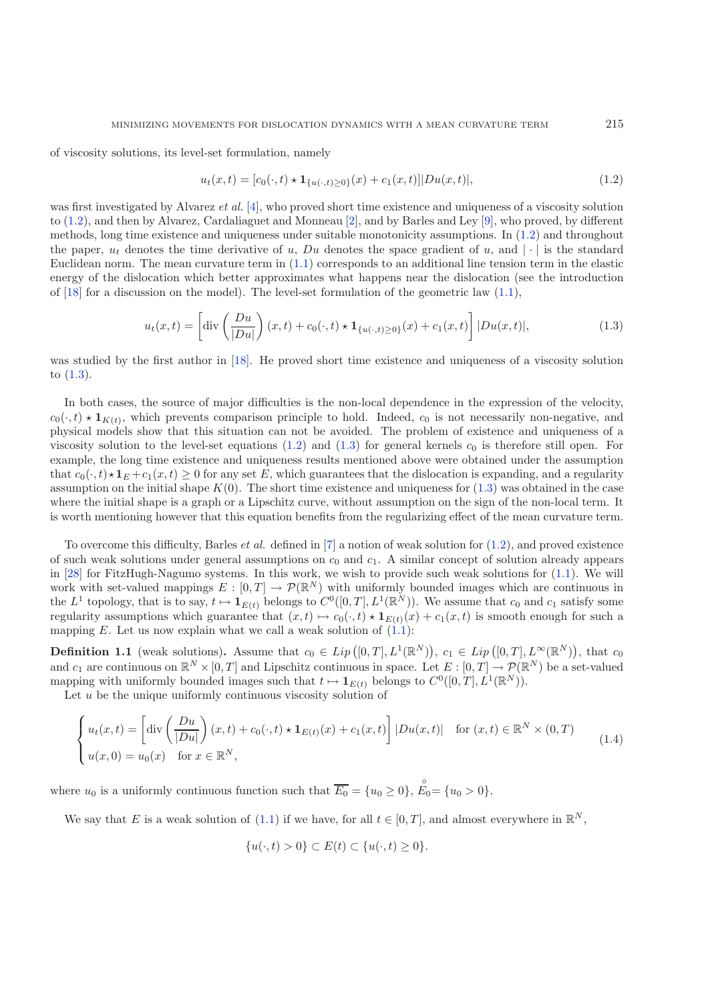<span id="page-1-1"></span><span id="page-1-0"></span>of viscosity solutions, its level-set formulation, namely

$$
u_t(x,t) = [c_0(\cdot,t) \star \mathbf{1}_{\{u(\cdot,t) \ge 0\}}(x) + c_1(x,t)] |Du(x,t)|,
$$
\n(1.2)

was first investigated by Alvarez *et al.* [\[4](#page-30-3)], who proved short time existence and uniqueness of a viscosity solution to [\(1.2\)](#page-1-0), and then by Alvarez, Cardaliaguet and Monneau [\[2](#page-30-4)], and by Barles and Ley [\[9](#page-30-5)], who proved, by different methods, long time existence and uniqueness under suitable monotonicity assumptions. In [\(1.2\)](#page-1-0) and throughout the paper,  $u_t$  denotes the time derivative of u, Du denotes the space gradient of u, and  $|\cdot|$  is the standard Euclidean norm. The mean curvature term in [\(1.1\)](#page-0-0) corresponds to an additional line tension term in the elastic energy of the dislocation which better approximates what happens near the dislocation (see the introduction of  $[18]$  $[18]$  for a discussion on the model). The level-set formulation of the geometric law  $(1.1)$ ,

$$
u_t(x,t) = \left[ \text{div} \left( \frac{Du}{|Du|} \right) (x,t) + c_0(\cdot, t) \star \mathbf{1}_{\{u(\cdot,t) \ge 0\}}(x) + c_1(x,t) \right] |Du(x,t)|,
$$
\n(1.3)

was studied by the first author in [\[18\]](#page-30-6). He proved short time existence and uniqueness of a viscosity solution to [\(1.3\)](#page-1-1).

In both cases, the source of major difficulties is the non-local dependence in the expression of the velocity,  $c_0(\cdot, t) \star \mathbf{1}_{K(t)}$ , which prevents comparison principle to hold. Indeed,  $c_0$  is not necessarily non-negative, and physical models show that this situation can not be avoided. The problem of existence and uniqueness of a viscosity solution to the level-set equations  $(1.2)$  and  $(1.3)$  for general kernels  $c_0$  is therefore still open. For example, the long time existence and uniqueness results mentioned above were obtained under the assumption that  $c_0(\cdot, t) \star \mathbf{1}_E + c_1(x, t) \geq 0$  for any set E, which guarantees that the dislocation is expanding, and a regularity assumption on the initial shape  $K(0)$ . The short time existence and uniqueness for  $(1.3)$  was obtained in the case where the initial shape is a graph or a Lipschitz curve, without assumption on the sign of the non-local term. It is worth mentioning however that this equation benefits from the regularizing effect of the mean curvature term.

<span id="page-1-3"></span>To overcome this difficulty, Barles *et al.* defined in [\[7\]](#page-30-7) a notion of weak solution for [\(1.2\)](#page-1-0), and proved existence of such weak solutions under general assumptions on  $c_0$  and  $c_1$ . A similar concept of solution already appears in [\[28\]](#page-30-8) for FitzHugh-Nagumo systems. In this work, we wish to provide such weak solutions for [\(1.1\)](#page-0-0). We will work with set-valued mappings  $E : [0, T] \to \mathcal{P}(\mathbb{R}^N)$  with uniformly bounded images which are continuous in the  $L^1$  topology, that is to say,  $t \mapsto \mathbf{1}_{E(t)}$  belongs to  $C^0([0,T], L^1(\mathbb{R}^N))$ . We assume that  $c_0$  and  $c_1$  satisfy some regularity assumptions which guarantee that  $(x,t) \mapsto c_0(\cdot,t) \star 1_{E(t)}(x) + c_1(x,t)$  is smooth enough for such a mapping  $E$ . Let us now explain what we call a weak solution of  $(1.1)$ :

<span id="page-1-2"></span>**Definition 1.1** (weak solutions). Assume that  $c_0 \in Lip([0,T], L^1(\mathbb{R}^N))$ ,  $c_1 \in Lip([0,T], L^{\infty}(\mathbb{R}^N))$ , that  $c_0$ and  $c_1$  are continuous on  $\mathbb{R}^N \times [0,T]$  and Lipschitz continuous in space. Let  $E : [0,T] \to \mathcal{P}(\mathbb{R}^N)$  be a set-valued mapping with uniformly bounded images such that  $t \mapsto \mathbf{1}_{E(t)}$  belongs to  $C^0([0,T], L^1(\mathbb{R}^N))$ .

Let  $u$  be the unique uniformly continuous viscosity solution of

$$
\begin{cases}\nu_t(x,t) = \left[\mathrm{div}\left(\frac{Du}{|Du|}\right)(x,t) + c_0(\cdot,t) \star \mathbf{1}_{E(t)}(x) + c_1(x,t)\right] |Du(x,t)| & \text{for } (x,t) \in \mathbb{R}^N \times (0,T) \\
u(x,0) = u_0(x) & \text{for } x \in \mathbb{R}^N,\n\end{cases}
$$
\n(1.4)

where  $u_0$  is a uniformly continuous function such that  $\overline{E_0} = \{u_0 \ge 0\}$ ,  $\overline{\mathring{E}_0} = \{u_0 > 0\}$ .

We say that E is a weak solution of [\(1.1\)](#page-0-0) if we have, for all  $t \in [0, T]$ , and almost everywhere in  $\mathbb{R}^N$ ,

$$
\{u(\cdot,t)>0\}\subset E(t)\subset \{u(\cdot,t)\geq 0\}.
$$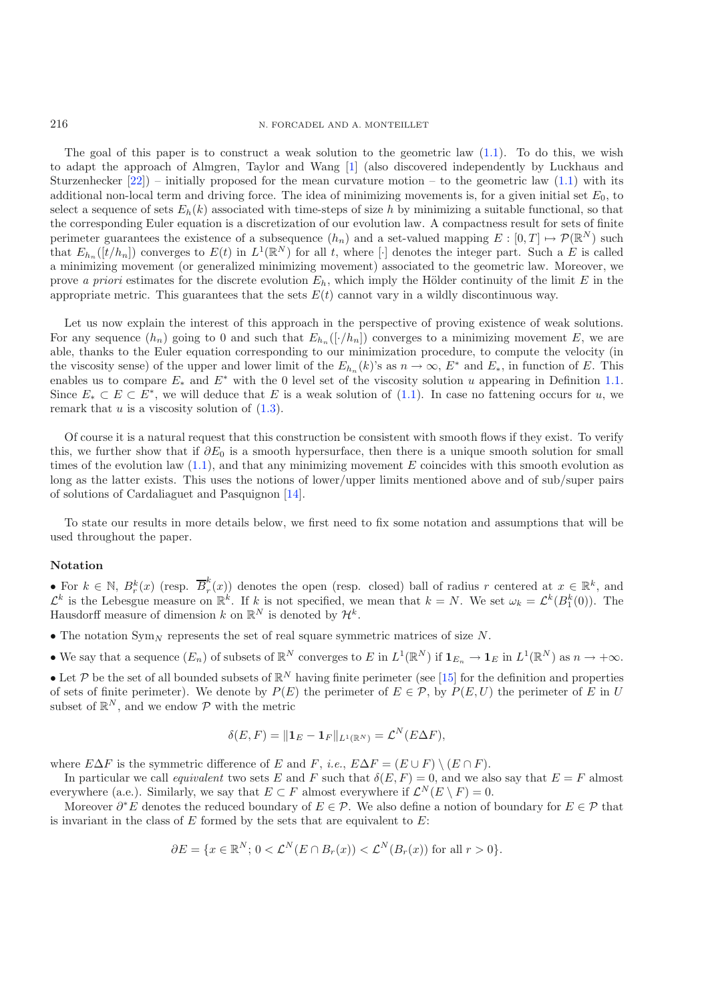The goal of this paper is to construct a weak solution to the geometric law  $(1.1)$ . To do this, we wish to adapt the approach of Almgren, Taylor and Wang [\[1](#page-30-0)] (also discovered independently by Luckhaus and Sturzenhecker  $[22]$ ) – initially proposed for the mean curvature motion – to the geometric law  $(1.1)$  with its additional non-local term and driving force. The idea of minimizing movements is, for a given initial set  $E_0$ , to select a sequence of sets  $E_h(k)$  associated with time-steps of size h by minimizing a suitable functional, so that the corresponding Euler equation is a discretization of our evolution law. A compactness result for sets of finite perimeter guarantees the existence of a subsequence  $(h_n)$  and a set-valued mapping  $E : [0, T] \mapsto \mathcal{P}(\mathbb{R}^N)$  such that  $E_{h_n}([t/h_n])$  converges to  $E(t)$  in  $L^1(\mathbb{R}^N)$  for all t, where [·] denotes the integer part. Such a E is called a minimizing movement (or generalized minimizing movement) associated to the geometric law. Moreover, we prove *a priori* estimates for the discrete evolution  $E_h$ , which imply the Hölder continuity of the limit  $E$  in the appropriate metric. This guarantees that the sets  $E(t)$  cannot vary in a wildly discontinuous way.

Let us now explain the interest of this approach in the perspective of proving existence of weak solutions. For any sequence  $(h_n)$  going to 0 and such that  $E_{h_n}([\cdot/h_n])$  converges to a minimizing movement E, we are able, thanks to the Euler equation corresponding to our minimization procedure, to compute the velocity (in the viscosity sense) of the upper and lower limit of the  $E_{h_n}(k)$ 's as  $n \to \infty$ ,  $E^*$  and  $E_*$ , in function of E. This enables us to compare  $E_*$  and  $E^*$  with the 0 level set of the viscosity solution u appearing in Definition [1.1.](#page-1-2) Since  $E_* \subset E \subset E^*$ , we will deduce that E is a weak solution of [\(1.1\)](#page-0-0). In case no fattening occurs for u, we remark that  $u$  is a viscosity solution of  $(1.3)$ .

Of course it is a natural request that this construction be consistent with smooth flows if they exist. To verify this, we further show that if  $\partial E_0$  is a smooth hypersurface, then there is a unique smooth solution for small times of the evolution law  $(1.1)$ , and that any minimizing movement E coincides with this smooth evolution as long as the latter exists. This uses the notions of lower/upper limits mentioned above and of sub/super pairs of solutions of Cardaliaguet and Pasquignon [\[14](#page-30-10)].

To state our results in more details below, we first need to fix some notation and assumptions that will be used throughout the paper.

### **Notation**

• For  $k \in \mathbb{N}$ ,  $B_r^k(x)$  (resp.  $\overline{B}_r^k(x)$ ) denotes the open (resp. closed) ball of radius r centered at  $x \in \mathbb{R}^k$ , and  $\mathcal{L}^k$  is the Lebesgue measure on  $\mathbb{R}^k$ . If k is not specified, we mean that  $k = N$ . We set  $\omega_k = \mathcal{L}^k(B_1^k(0))$ . The Hausdorff measure of dimension k on  $\mathbb{R}^N$  is denoted by  $\mathcal{H}^k$ .

- The notation  $\text{Sym}_N$  represents the set of real square symmetric matrices of size N.
- We say that a sequence  $(E_n)$  of subsets of  $\mathbb{R}^N$  converges to E in  $L^1(\mathbb{R}^N)$  if  $\mathbf{1}_{E_n} \to \mathbf{1}_E$  in  $L^1(\mathbb{R}^N)$  as  $n \to +\infty$ .

• Let P be the set of all bounded subsets of  $\mathbb{R}^N$  having finite perimeter (see [\[15](#page-30-11)] for the definition and properties of sets of finite perimeter). We denote by  $P(E)$  the perimeter of  $E \in \mathcal{P}$ , by  $P(E, U)$  the perimeter of E in U subset of  $\mathbb{R}^N$ , and we endow  $\mathcal P$  with the metric

$$
\delta(E,F)=\|\mathbf{1}_E-\mathbf{1}_F\|_{L^1(\mathbb{R}^N)}=\mathcal{L}^N(E\Delta F),
$$

where  $E\Delta F$  is the symmetric difference of E and F, *i.e.*,  $E\Delta F = (E \cup F) \setminus (E \cap F)$ .

In particular we call *equivalent* two sets E and F such that  $\delta(E,F) = 0$ , and we also say that  $E = F$  almost everywhere (a.e.). Similarly, we say that  $E \subset F$  almost everywhere if  $\mathcal{L}^N(E \setminus F) = 0$ .

Moreover  $\partial^*E$  denotes the reduced boundary of  $E \in \mathcal{P}$ . We also define a notion of boundary for  $E \in \mathcal{P}$  that is invariant in the class of  $E$  formed by the sets that are equivalent to  $E$ :

$$
\partial E = \{x \in \mathbb{R}^N; \, 0 < \mathcal{L}^N(E \cap B_r(x)) < \mathcal{L}^N(B_r(x)) \text{ for all } r > 0\}.
$$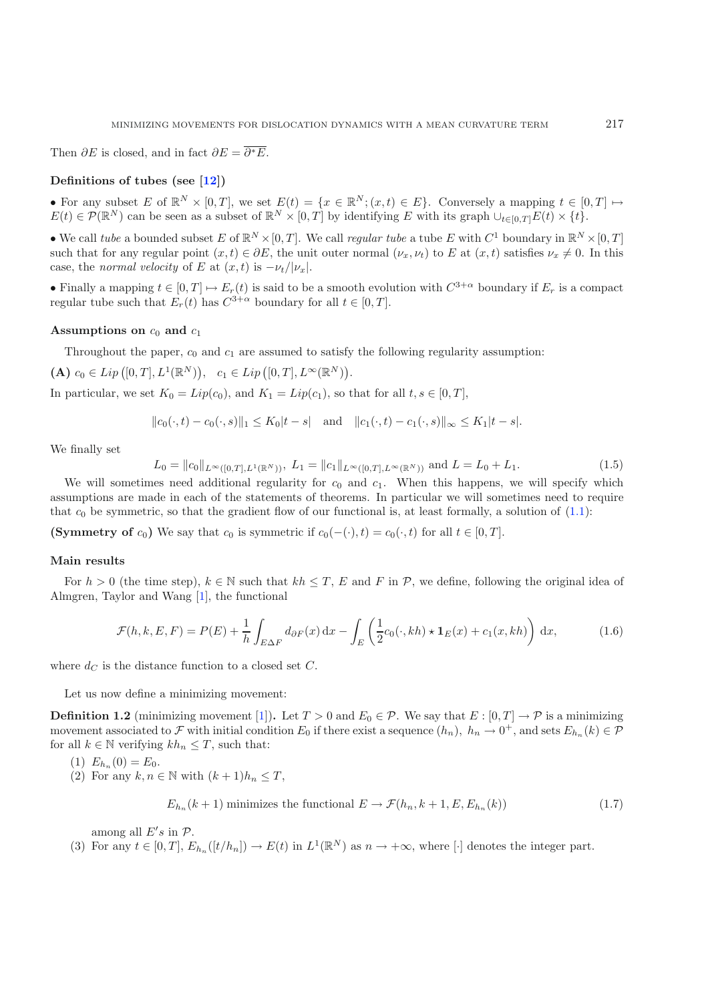Then  $\partial E$  is closed, and in fact  $\partial E = \overline{\partial^* E}$ .

### **Definitions of tubes (see [\[12](#page-30-12)])**

• For any subset E of  $\mathbb{R}^N \times [0,T]$ , we set  $E(t) = \{x \in \mathbb{R}^N; (x,t) \in E\}$ . Conversely a mapping  $t \in [0,T] \mapsto$  $E(t) \in \mathcal{P}(\mathbb{R}^N)$  can be seen as a subset of  $\mathbb{R}^N \times [0,T]$  by identifying E with its graph  $\cup_{t \in [0,T]} E(t) \times \{t\}.$ 

• We call *tube* a bounded subset E of  $\mathbb{R}^N \times [0,T]$ . We call *regular tube* a tube E with  $C^1$  boundary in  $\mathbb{R}^N \times [0,T]$ such that for any regular point  $(x, t) \in \partial E$ , the unit outer normal  $(\nu_x, \nu_t)$  to E at  $(x, t)$  satisfies  $\nu_x \neq 0$ . In this case, the *normal velocity* of E at  $(x, t)$  is  $-\nu_t/|\nu_x|$ .

<span id="page-3-0"></span>• Finally a mapping  $t \in [0, T] \mapsto E_r(t)$  is said to be a smooth evolution with  $C^{3+\alpha}$  boundary if  $E_r$  is a compact regular tube such that  $E_r(t)$  has  $C^{3+\alpha}$  boundary for all  $t \in [0, T]$ .

### **Assumptions on**  $c_0$  **and**  $c_1$

Throughout the paper,  $c_0$  and  $c_1$  are assumed to satisfy the following regularity assumption:

(A)  $c_0 \in Lip([0, T], L^1(\mathbb{R}^N)), \quad c_1 \in Lip([0, T], L^{\infty}(\mathbb{R}^N)).$ 

In particular, we set  $K_0 = Lip(c_0)$ , and  $K_1 = Lip(c_1)$ , so that for all  $t, s \in [0, T]$ ,

$$
||c_0(\cdot,t) - c_0(\cdot,s)||_1 \le K_0|t-s|
$$
 and  $||c_1(\cdot,t) - c_1(\cdot,s)||_{\infty} \le K_1|t-s|$ .

We finally set

$$
L_0 = ||c_0||_{L^{\infty}([0,T],L^1(\mathbb{R}^N))}, L_1 = ||c_1||_{L^{\infty}([0,T],L^{\infty}(\mathbb{R}^N))} \text{ and } L = L_0 + L_1.
$$
 (1.5)

We will sometimes need additional regularity for  $c_0$  and  $c_1$ . When this happens, we will specify which assumptions are made in each of the statements of theorems. In particular we will sometimes need to require that  $c_0$  be symmetric, so that the gradient flow of our functional is, at least formally, a solution of  $(1.1)$ :

**(Symmetry of** c<sub>0</sub>) We say that c<sub>0</sub> is symmetric if  $c_0(-\cdot), t) = c_0(\cdot, t)$  for all  $t \in [0, T]$ .

#### **Main results**

For  $h > 0$  (the time step),  $k \in \mathbb{N}$  such that  $kh \leq T$ , E and F in P, we define, following the original idea of Almgren, Taylor and Wang [\[1](#page-30-0)], the functional

<span id="page-3-1"></span>
$$
\mathcal{F}(h,k,E,F) = P(E) + \frac{1}{h} \int_{E \Delta F} d_{\partial F}(x) dx - \int_{E} \left( \frac{1}{2} c_0(\cdot, kh) \star \mathbf{1}_E(x) + c_1(x, kh) \right) dx, \tag{1.6}
$$

where  $d_C$  is the distance function to a closed set C.

Let us now define a minimizing movement:

**Definition 1.2** (minimizing movement [\[1](#page-30-0)]). Let  $T > 0$  and  $E_0 \in \mathcal{P}$ . We say that  $E : [0, T] \to \mathcal{P}$  is a minimizing movement associated to F with initial condition  $E_0$  if there exist a sequence  $(h_n)$ ,  $h_n \to 0^+$ , and sets  $E_{h_n}(k) \in \mathcal{P}$ for all  $k \in \mathbb{N}$  verifying  $kh_n \leq T$ , such that:

$$
(1) E_{h_n}(0) = E_0.
$$

(2) For any  $k, n \in \mathbb{N}$  with  $(k+1)h_n \leq T$ ,

$$
E_{h_n}(k+1) \text{ minimizes the functional } E \to \mathcal{F}(h_n, k+1, E, E_{h_n}(k)) \tag{1.7}
$$

among all  $E's$  in  $\mathcal{P}$ .

(3) For any  $t \in [0, T]$ ,  $E_{h_n}([t/h_n]) \to E(t)$  in  $L^1(\mathbb{R}^N)$  as  $n \to +\infty$ , where  $[\cdot]$  denotes the integer part.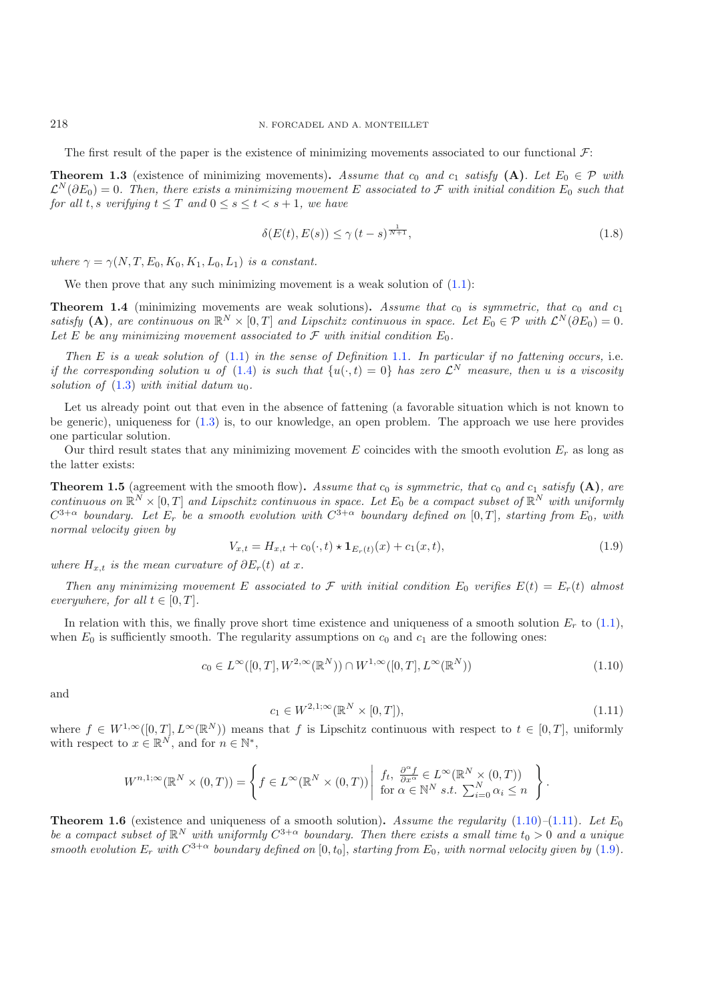The first result of the paper is the existence of minimizing movements associated to our functional  $\mathcal{F}$ :

<span id="page-4-3"></span>**Theorem 1.3** (existence of minimizing movements). Assume that  $c_0$  and  $c_1$  satisfy (A). Let  $E_0 \in \mathcal{P}$  with  $\mathcal{L}^N(\partial E_0)=0$ . Then, there exists a minimizing movement E associated to F with initial condition  $E_0$  such that *for all t, s verifying*  $t \leq T$  *and*  $0 \leq s \leq t < s + 1$ *, we have* 

$$
\delta(E(t), E(s)) \le \gamma (t - s)^{\frac{1}{N+1}},\tag{1.8}
$$

*where*  $\gamma = \gamma(N, T, E_0, K_0, K_1, L_0, L_1)$  *is a constant.* 

We then prove that any such minimizing movement is a weak solution of  $(1.1)$ :

<span id="page-4-4"></span>**Theorem 1.4** (minimizing movements are weak solutions). Assume that  $c_0$  is symmetric, that  $c_0$  and  $c_1$ *satisfy* **(A)***, are continuous on*  $\mathbb{R}^N \times [0,T]$  *and Lipschitz continuous in space. Let*  $E_0 \in \mathcal{P}$  *with*  $\mathcal{L}^N(\partial E_0) = 0$ *.* Let E be any minimizing movement associated to  $\mathcal F$  with initial condition  $E_0$ .

<span id="page-4-2"></span>*Then* E *is a weak solution of* [\(1.1\)](#page-0-0) *in the sense of Definition* [1.1](#page-1-2)*. In particular if no fattening occurs,* i.e. *if the corresponding solution* u of  $(1.4)$  *is such that*  $\{u(\cdot,t)=0\}$  *has zero*  $\mathcal{L}^N$  *measure, then* u *is a viscosity solution of*  $(1.3)$  *with initial datum*  $u_0$ *.* 

Let us already point out that even in the absence of fattening (a favorable situation which is not known to be generic), uniqueness for [\(1.3\)](#page-1-1) is, to our knowledge, an open problem. The approach we use here provides one particular solution.

<span id="page-4-5"></span>Our third result states that any minimizing movement E coincides with the smooth evolution  $E_r$  as long as the latter exists:

<span id="page-4-0"></span>**Theorem 1.5** (agreement with the smooth flow). Assume that  $c_0$  is symmetric, that  $c_0$  and  $c_1$  satisfy  $(A)$ *, are continuous on*  $\mathbb{R}^N \times [0,T]$  *and Lipschitz continuous in space. Let*  $E_0$  *be a compact subset of*  $\mathbb{R}^N$  *with uniformly*  $C^{3+\alpha}$  *boundary. Let*  $E_r$  *be a smooth evolution with*  $C^{3+\alpha}$  *boundary defined on* [0, T], *starting from*  $E_0$ *, with normal velocity given by*

<span id="page-4-1"></span>
$$
V_{x,t} = H_{x,t} + c_0(\cdot, t) \star \mathbf{1}_{E_r(t)}(x) + c_1(x,t),
$$
\n(1.9)

*where*  $H_{x,t}$  *is the mean curvature of*  $\partial E_r(t)$  *at* x.

*Then any minimizing movement* E associated to F with initial condition  $E_0$  verifies  $E(t) = E_r(t)$  almost *everywhere, for all*  $t \in [0, T]$ *.* 

In relation with this, we finally prove short time existence and uniqueness of a smooth solution  $E_r$  to [\(1.1\)](#page-0-0), when  $E_0$  is sufficiently smooth. The regularity assumptions on  $c_0$  and  $c_1$  are the following ones:

$$
c_0 \in L^{\infty}([0, T], W^{2, \infty}(\mathbb{R}^N)) \cap W^{1, \infty}([0, T], L^{\infty}(\mathbb{R}^N))
$$
\n(1.10)

and

$$
c_1 \in W^{2,1;\infty}(\mathbb{R}^N \times [0,T]),\tag{1.11}
$$

where  $f \in W^{1,\infty}([0,T], L^{\infty}(\mathbb{R}^N))$  means that f is Lipschitz continuous with respect to  $t \in [0,T]$ , uniformly with respect to  $x \in \mathbb{R}^N$ , and for  $n \in \mathbb{N}^*$ ,

$$
W^{n,1;\infty}(\mathbb{R}^N\times(0,T))=\left\{f\in L^\infty(\mathbb{R}^N\times(0,T))\left|\begin{array}{l}f_t,\;\frac{\partial^\alpha f}{\partial x^\alpha}\in L^\infty(\mathbb{R}^N\times(0,T))\\\text{for }\alpha\in\mathbb{N}^N\ s.t.\;\sum_{i=0}^N\alpha_i\leq n\end{array}\right.\right\}.
$$

<span id="page-4-6"></span>**Theorem 1.6** (existence and uniqueness of a smooth solution). Assume the regularity  $(1.10)$ – $(1.11)$ *. Let*  $E_0$ *be a compact subset of*  $\mathbb{R}^N$  *with uniformly*  $C^{3+\alpha}$  *boundary. Then there exists a small time*  $t_0 > 0$  *and a unique smooth evolution*  $E_r$  *with*  $C^{3+\alpha}$  *boundary defined on* [0,  $t_0$ ], *starting from*  $E_0$ *, with normal velocity given by* [\(1.9\)](#page-4-2).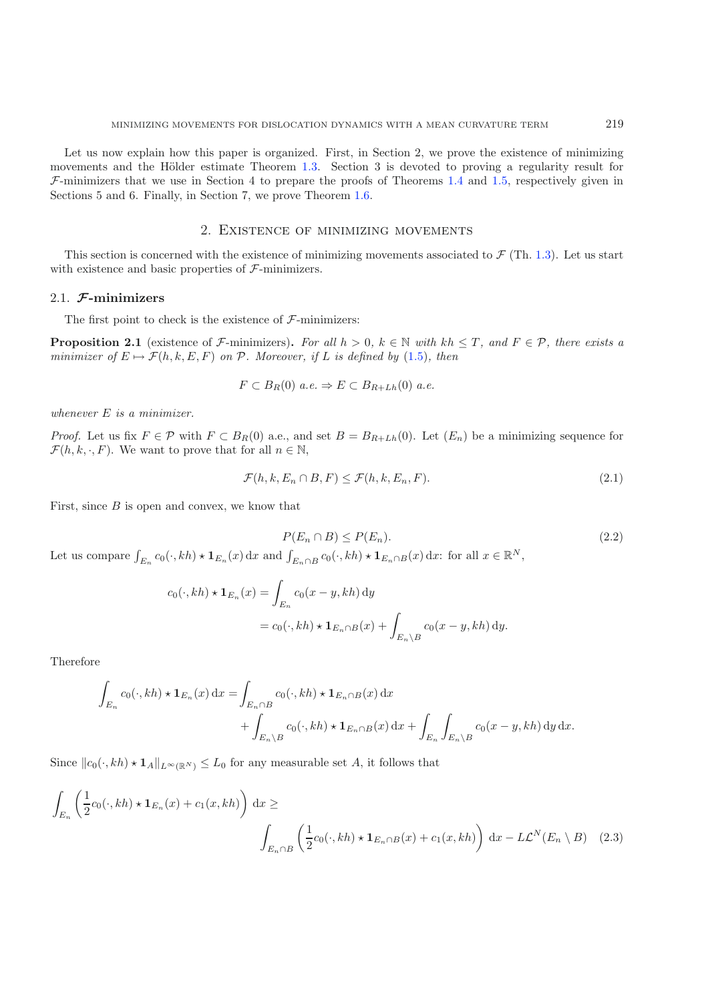Let us now explain how this paper is organized. First, in Section 2, we prove the existence of minimizing movements and the Hölder estimate Theorem [1.3.](#page-4-3) Section 3 is devoted to proving a regularity result for  $\mathcal{F}$ -minimizers that we use in Section 4 to prepare the proofs of Theorems [1.4](#page-4-4) and [1.5,](#page-4-5) respectively given in Sections 5 and 6. Finally, in Section 7, we prove Theorem [1.6.](#page-4-6)

### <span id="page-5-2"></span>2. Existence of minimizing movements

This section is concerned with the existence of minimizing movements associated to  $\mathcal{F}$  (Th. [1.3\)](#page-4-3). Let us start with existence and basic properties of  $\mathcal{F}\text{-minimizers}$ .

### 2.1. *F***-minimizers**

The first point to check is the existence of  $\mathcal{F}$ -minimizers:

<span id="page-5-3"></span>**Proposition 2.1** (existence of F-minimizers). For all  $h > 0$ ,  $k \in \mathbb{N}$  with  $kh \leq T$ , and  $F \in \mathcal{P}$ , there exists a *minimizer of*  $E \mapsto \mathcal{F}(h, k, E, F)$  *on*  $\mathcal{P}$ *. Moreover, if*  $L$  *is defined by* [\(1.5\)](#page-3-0)*, then* 

<span id="page-5-0"></span>
$$
F \subset B_R(0) \ a.e. \Rightarrow E \subset B_{R+Lh}(0) \ a.e.
$$

*whenever* E *is a minimizer.*

*Proof.* Let us fix  $F \in \mathcal{P}$  with  $F \subset B_R(0)$  a.e., and set  $B = B_{R+Lh}(0)$ . Let  $(E_n)$  be a minimizing sequence for  $\mathcal{F}(h, k, \cdot, F)$ . We want to prove that for all  $n \in \mathbb{N}$ ,

$$
\mathcal{F}(h,k,E_n \cap B,F) \le \mathcal{F}(h,k,E_n,F). \tag{2.1}
$$

First, since  $B$  is open and convex, we know that

<span id="page-5-1"></span>
$$
P(E_n \cap B) \le P(E_n). \tag{2.2}
$$

Let us compare  $\int_{E_n} c_0(\cdot, kh) \star \mathbf{1}_{E_n}(x) dx$  and  $\int_{E_n \cap B} c_0(\cdot, kh) \star \mathbf{1}_{E_n \cap B}(x) dx$ : for all  $x \in \mathbb{R}^N$ ,

$$
c_0(\cdot, kh) \star \mathbf{1}_{E_n}(x) = \int_{E_n} c_0(x - y, kh) dy
$$
  
=  $c_0(\cdot, kh) \star \mathbf{1}_{E_n \cap B}(x) + \int_{E_n \setminus B} c_0(x - y, kh) dy.$ 

Therefore

$$
\int_{E_n} c_0(\cdot, kh) \star \mathbf{1}_{E_n}(x) dx = \int_{E_n \cap B} c_0(\cdot, kh) \star \mathbf{1}_{E_n \cap B}(x) dx \n+ \int_{E_n \backslash B} c_0(\cdot, kh) \star \mathbf{1}_{E_n \cap B}(x) dx + \int_{E_n} \int_{E_n \backslash B} c_0(x - y, kh) dy dx.
$$

Since  $||c_0(\cdot, kh) \star \mathbf{1}_A||_{L^\infty(\mathbb{R}^N)} \leq L_0$  for any measurable set A, it follows that

$$
\int_{E_n} \left( \frac{1}{2} c_0(\cdot, kh) \star \mathbf{1}_{E_n}(x) + c_1(x, kh) \right) dx \ge
$$
\n
$$
\int_{E_n \cap B} \left( \frac{1}{2} c_0(\cdot, kh) \star \mathbf{1}_{E_n \cap B}(x) + c_1(x, kh) \right) dx - L\mathcal{L}^N(E_n \setminus B) \quad (2.3)
$$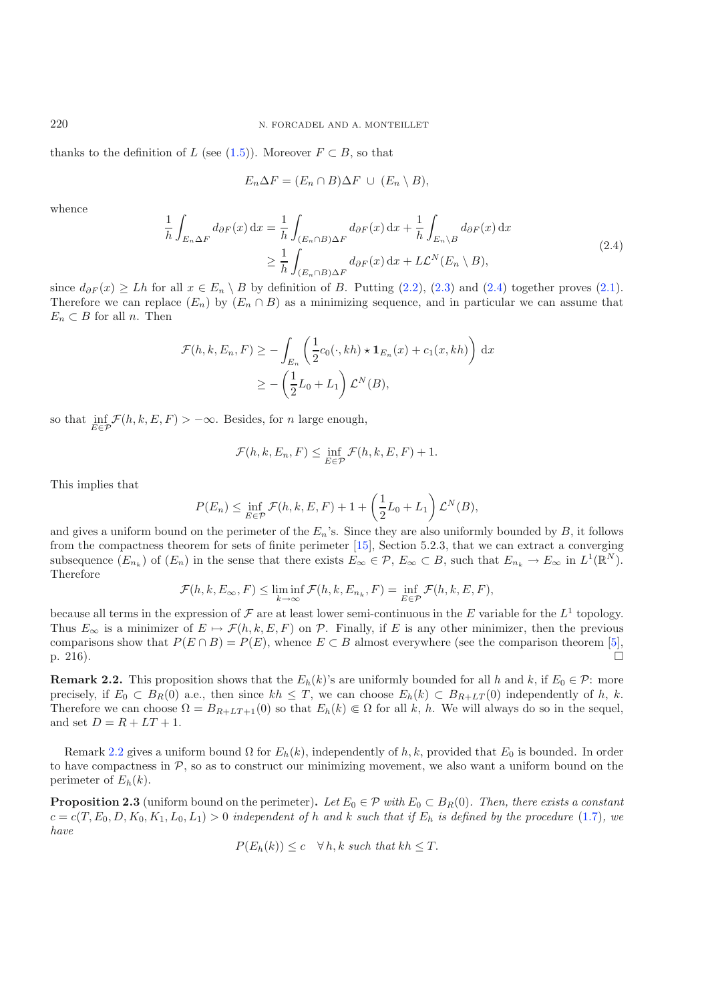thanks to the definition of L (see [\(1.5\)](#page-3-0)). Moreover  $F \subset B$ , so that

$$
E_n \Delta F = (E_n \cap B) \Delta F \cup (E_n \setminus B),
$$

whence

$$
\frac{1}{h} \int_{E_n \Delta F} d_{\partial F}(x) dx = \frac{1}{h} \int_{(E_n \cap B) \Delta F} d_{\partial F}(x) dx + \frac{1}{h} \int_{E_n \backslash B} d_{\partial F}(x) dx
$$
\n
$$
\geq \frac{1}{h} \int_{(E_n \cap B) \Delta F} d_{\partial F}(x) dx + L\mathcal{L}^N(E_n \backslash B),
$$
\n(2.4)

since  $d_{\partial F}(x) \geq Lh$  for all  $x \in E_n \setminus B$  by definition of B. Putting [\(2.2\)](#page-5-0), [\(2.3\)](#page-5-1) and [\(2.4\)](#page-6-0) together proves [\(2.1\)](#page-5-2). Therefore we can replace  $(E_n)$  by  $(E_n \cap B)$  as a minimizing sequence, and in particular we can assume that  $E_n \subset B$  for all n. Then

$$
\mathcal{F}(h, k, E_n, F) \ge -\int_{E_n} \left(\frac{1}{2}c_0(\cdot, kh) \star \mathbf{1}_{E_n}(x) + c_1(x, kh)\right) dx
$$

$$
\ge -\left(\frac{1}{2}L_0 + L_1\right)\mathcal{L}^N(B),
$$

so that  $\inf_{E \in \mathcal{P}} \mathcal{F}(h, k, E, F) > -\infty$ . Besides, for *n* large enough,

$$
\mathcal{F}(h,k,E_n,F) \leq \inf_{E \in \mathcal{P}} \mathcal{F}(h,k,E,F) + 1.
$$

This implies that

$$
P(E_n) \le \inf_{E \in \mathcal{P}} \mathcal{F}(h, k, E, F) + 1 + \left(\frac{1}{2}L_0 + L_1\right)\mathcal{L}^N(B),
$$

and gives a uniform bound on the perimeter of the  $E_n$ 's. Since they are also uniformly bounded by  $B$ , it follows from the compactness theorem for sets of finite perimeter [\[15\]](#page-30-11), Section 5.2.3, that we can extract a converging subsequence  $(E_{n_k})$  of  $(E_n)$  in the sense that there exists  $E_{\infty} \in \mathcal{P}, E_{\infty} \subset B$ , such that  $E_{n_k} \to E_{\infty}$  in  $L^1(\mathbb{R}^N)$ . Therefore

$$
\mathcal{F}(h,k,E_{\infty},F) \leq \liminf_{k \to \infty} \mathcal{F}(h,k,E_{n_k},F) = \inf_{E \in \mathcal{P}} \mathcal{F}(h,k,E,F),
$$

because all terms in the expression of  $\mathcal F$  are at least lower semi-continuous in the E variable for the  $L^1$  topology. Thus  $E_{\infty}$  is a minimizer of  $E \mapsto \mathcal{F}(h, k, E, F)$  on  $\mathcal{P}$ . Finally, if E is any other minimizer, then the previous comparisons show that  $P(E \cap B) = P(E)$ , whence  $E \subset B$  almost everywhere (see the comparison theorem [\[5\]](#page-30-1), p. 216).

<span id="page-6-1"></span>**Remark 2.2.** This proposition shows that the  $E_h(k)$ 's are uniformly bounded for all h and k, if  $E_0 \in \mathcal{P}$ : more precisely, if  $E_0 \subset B_R(0)$  a.e., then since  $kh \leq T$ , we can choose  $E_h(k) \subset B_{R+LT}(0)$  independently of h, k. Therefore we can choose  $\Omega = B_{R+LT+1}(0)$  so that  $E_h(k) \in \Omega$  for all k, h. We will always do so in the sequel, and set  $D = R + LT + 1$ .

Remark [2.2](#page-6-1) gives a uniform bound  $\Omega$  for  $E_h(k)$ , independently of h, k, provided that  $E_0$  is bounded. In order to have compactness in  $P$ , so as to construct our minimizing movement, we also want a uniform bound on the perimeter of  $E_h(k)$ .

<span id="page-6-2"></span>**Proposition 2.3** (uniform bound on the perimeter). Let  $E_0 \in \mathcal{P}$  with  $E_0 \subset B_R(0)$ . Then, there exists a constant  $c = c(T, E_0, D, K_0, K_1, L_0, L_1) > 0$  *independent of* h and k such that if  $E_h$  is defined by the procedure [\(1.7\)](#page-3-1), we *have*

$$
P(E_h(k)) \le c \quad \forall h, k \text{ such that } kh \le T.
$$

<span id="page-6-0"></span>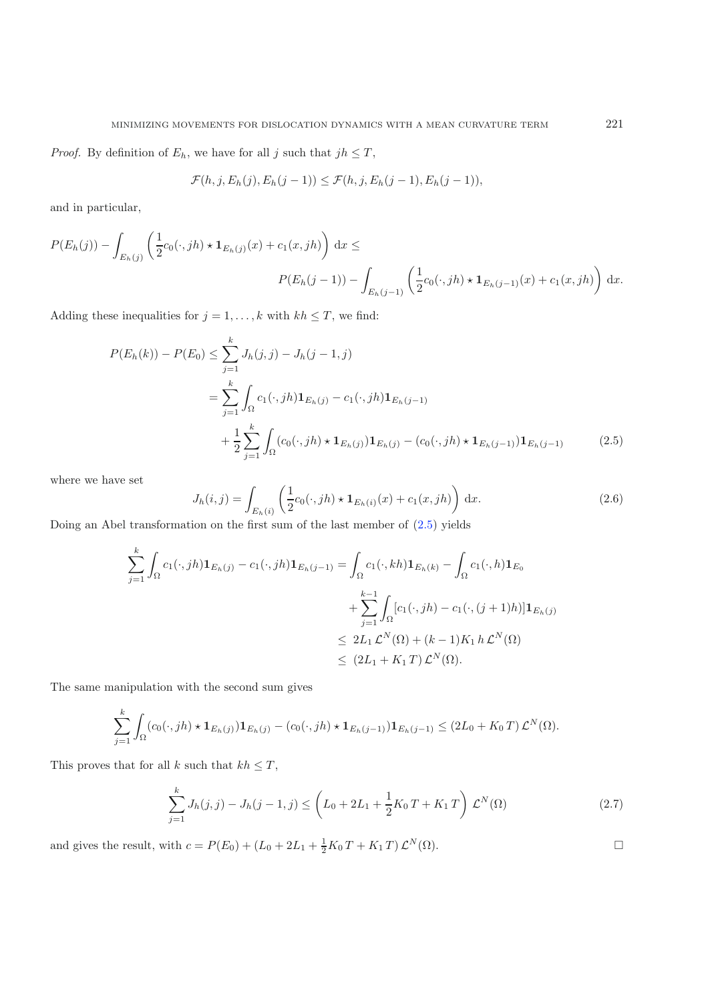*Proof.* By definition of  $E_h$ , we have for all j such that  $jh \leq T$ ,

<span id="page-7-0"></span>
$$
\mathcal{F}(h,j,E_h(j),E_h(j-1)) \leq \mathcal{F}(h,j,E_h(j-1),E_h(j-1)),
$$

and in particular,

$$
P(E_h(j)) - \int_{E_h(j)} \left(\frac{1}{2}c_0(\cdot,jh) \star \mathbf{1}_{E_h(j)}(x) + c_1(x,jh)\right) dx \le
$$
  

$$
P(E_h(j-1)) - \int_{E_h(j-1)} \left(\frac{1}{2}c_0(\cdot,jh) \star \mathbf{1}_{E_h(j-1)}(x) + c_1(x,jh)\right) dx.
$$

Adding these inequalities for  $j = 1, \ldots, k$  with  $kh \leq T$ , we find:

<span id="page-7-1"></span>
$$
P(E_h(k)) - P(E_0) \le \sum_{j=1}^k J_h(j, j) - J_h(j - 1, j)
$$
  
= 
$$
\sum_{j=1}^k \int_{\Omega} c_1(\cdot, jh) \mathbf{1}_{E_h(j)} - c_1(\cdot, jh) \mathbf{1}_{E_h(j-1)}
$$
  
+ 
$$
\frac{1}{2} \sum_{j=1}^k \int_{\Omega} (c_0(\cdot, jh) \star \mathbf{1}_{E_h(j)}) \mathbf{1}_{E_h(j)} - (c_0(\cdot, jh) \star \mathbf{1}_{E_h(j-1)}) \mathbf{1}_{E_h(j-1)}
$$
(2.5)

where we have set

$$
J_h(i,j) = \int_{E_h(i)} \left( \frac{1}{2} c_0(\cdot,jh) \star \mathbf{1}_{E_h(i)}(x) + c_1(x,jh) \right) dx.
$$
 (2.6)

Doing an Abel transformation on the first sum of the last member of [\(2.5\)](#page-7-0) yields

$$
\sum_{j=1}^{k} \int_{\Omega} c_{1}(\cdot,jh) \mathbf{1}_{E_{h}(j)} - c_{1}(\cdot,jh) \mathbf{1}_{E_{h}(j-1)} = \int_{\Omega} c_{1}(\cdot,kh) \mathbf{1}_{E_{h}(k)} - \int_{\Omega} c_{1}(\cdot,h) \mathbf{1}_{E_{0}} + \sum_{j=1}^{k-1} \int_{\Omega} [c_{1}(\cdot,jh) - c_{1}(\cdot,(j+1)h)] \mathbf{1}_{E_{h}(j)} \n\leq 2L_{1} \mathcal{L}^{N}(\Omega) + (k-1)K_{1} h \mathcal{L}^{N}(\Omega) \n\leq (2L_{1} + K_{1} T) \mathcal{L}^{N}(\Omega).
$$

<span id="page-7-2"></span>The same manipulation with the second sum gives

$$
\sum_{j=1}^k \int_{\Omega} (c_0(\cdot,jh) \star \mathbf{1}_{E_h(j)}) \mathbf{1}_{E_h(j)} - (c_0(\cdot,jh) \star \mathbf{1}_{E_h(j-1)}) \mathbf{1}_{E_h(j-1)} \leq (2L_0 + K_0 T) \mathcal{L}^N(\Omega).
$$

This proves that for all  $k$  such that  $kh \leq T$ ,

$$
\sum_{j=1}^{k} J_h(j,j) - J_h(j-1,j) \leq \left( L_0 + 2L_1 + \frac{1}{2} K_0 T + K_1 T \right) \mathcal{L}^N(\Omega)
$$
\n(2.7)

and gives the result, with  $c = P(E_0) + (L_0 + 2L_1 + \frac{1}{2}K_0 T + K_1 T) \mathcal{L}^N(\Omega)$ .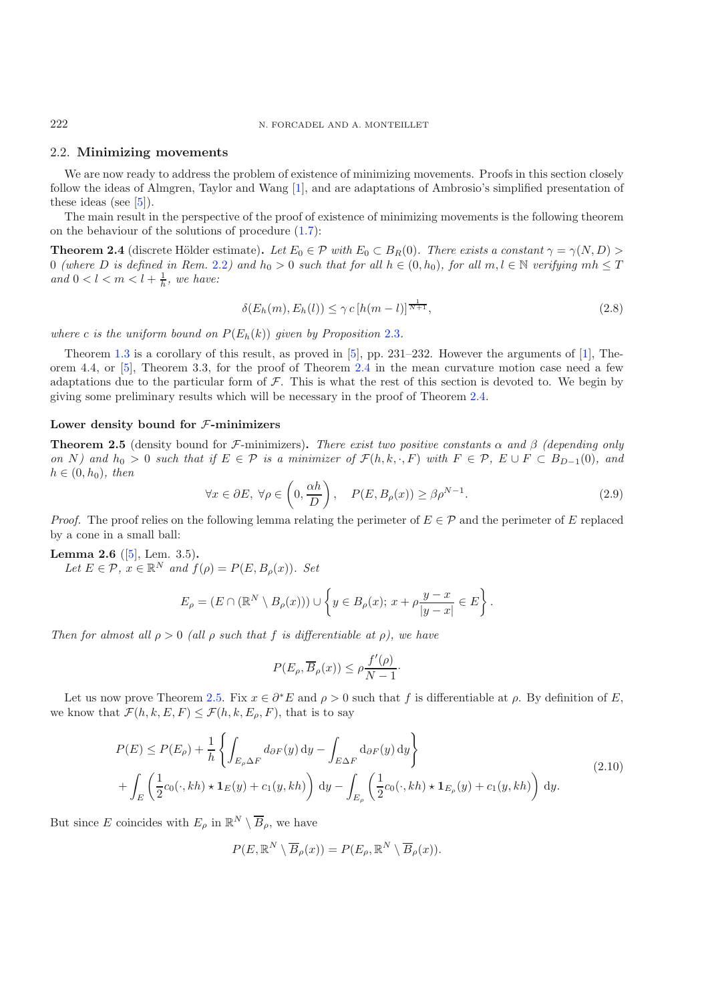222 N. FORCADEL AND A. MONTEILLET

#### 2.2. **Minimizing movements**

We are now ready to address the problem of existence of minimizing movements. Proofs in this section closely follow the ideas of Almgren, Taylor and Wang [\[1](#page-30-0)], and are adaptations of Ambrosio's simplified presentation of these ideas (see [\[5](#page-30-1)]).

<span id="page-8-0"></span>The main result in the perspective of the proof of existence of minimizing movements is the following theorem on the behaviour of the solutions of procedure [\(1.7\)](#page-3-1):

**Theorem 2.4** (discrete Hölder estimate). Let  $E_0 \in \mathcal{P}$  with  $E_0 \subset B_R(0)$ . There exists a constant  $\gamma = \gamma(N, D) >$ 0 *(where* D *is defined in Rem.* [2.2](#page-6-1)*)* and  $h_0 > 0$  *such that for all*  $h \in (0, h_0)$ *, for all*  $m, l \in \mathbb{N}$  *verifying*  $mh \leq T$ and  $0 < l < m < l + \frac{1}{h}$ , we have:

$$
\delta(E_h(m), E_h(l)) \le \gamma c \left[ h(m-l) \right]^{\frac{1}{N+1}},\tag{2.8}
$$

<span id="page-8-4"></span>*where c is the uniform bound on*  $P(E_h(k))$  *given by Proposition* [2.3](#page-6-2)*.* 

Theorem [1.3](#page-4-3) is a corollary of this result, as proved in [\[5\]](#page-30-1), pp. 231–232. However the arguments of [\[1](#page-30-0)], Theorem 4.4, or [\[5\]](#page-30-1), Theorem 3.3, for the proof of Theorem [2.4](#page-8-0) in the mean curvature motion case need a few adaptations due to the particular form of  $F$ . This is what the rest of this section is devoted to. We begin by giving some preliminary results which will be necessary in the proof of Theorem [2.4.](#page-8-0)

#### <span id="page-8-1"></span>**Lower density bound for** F**-minimizers**

**Theorem 2.5** (density bound for F-minimizers)**.** *There exist two positive constants* α *and* β *(depending only on* N) and  $h_0 > 0$  *such that if*  $E \in \mathcal{P}$  *is a minimizer of*  $\mathcal{F}(h, k, \cdot, F)$  *with*  $F \in \mathcal{P}$ *,*  $E \cup F \subset B_{D-1}(0)$ *, and*  $h \in (0, h_0)$ *, then* 

$$
\forall x \in \partial E, \ \forall \rho \in \left(0, \frac{\alpha h}{D}\right), \quad P(E, B_{\rho}(x)) \ge \beta \rho^{N-1}.
$$
\n(2.9)

<span id="page-8-3"></span>*Proof.* The proof relies on the following lemma relating the perimeter of  $E \in \mathcal{P}$  and the perimeter of E replaced by a cone in a small ball:

### **Lemma 2.6** ([\[5\]](#page-30-1), Lem. 3.5)**.**

<span id="page-8-2"></span>*Let*  $E \in \mathcal{P}$ ,  $x \in \mathbb{R}^N$  *and*  $f(\rho) = P(E, B_\rho(x))$ *. Set* 

$$
E_{\rho} = (E \cap (\mathbb{R}^N \setminus B_{\rho}(x))) \cup \left\{ y \in B_{\rho}(x); x + \rho \frac{y - x}{|y - x|} \in E \right\}.
$$

*Then for almost all*  $\rho > 0$  *(all*  $\rho$  *such that*  $f$  *is differentiable at*  $\rho$ *), we have* 

$$
P(E_{\rho}, \overline{B}_{\rho}(x)) \leq \rho \frac{f'(\rho)}{N-1}.
$$

Let us now prove Theorem [2.5.](#page-8-1) Fix  $x \in \partial^* E$  and  $\rho > 0$  such that f is differentiable at  $\rho$ . By definition of E, we know that  $\mathcal{F}(h, k, E, F) \leq \mathcal{F}(h, k, E_{\rho}, F)$ , that is to say

$$
P(E) \le P(E_{\rho}) + \frac{1}{h} \left\{ \int_{E_{\rho} \Delta F} d_{\partial F}(y) dy - \int_{E \Delta F} d_{\partial F}(y) dy \right\}
$$
  
+ 
$$
\int_{E} \left( \frac{1}{2} c_0(\cdot, kh) \star \mathbf{1}_{E}(y) + c_1(y, kh) \right) dy - \int_{E_{\rho}} \left( \frac{1}{2} c_0(\cdot, kh) \star \mathbf{1}_{E_{\rho}}(y) + c_1(y, kh) \right) dy.
$$
 (2.10)

But since E coincides with  $E_{\rho}$  in  $\mathbb{R}^N \setminus \overline{B}_{\rho}$ , we have

$$
P(E, \mathbb{R}^N \setminus \overline{B}_{\rho}(x)) = P(E_{\rho}, \mathbb{R}^N \setminus \overline{B}_{\rho}(x)).
$$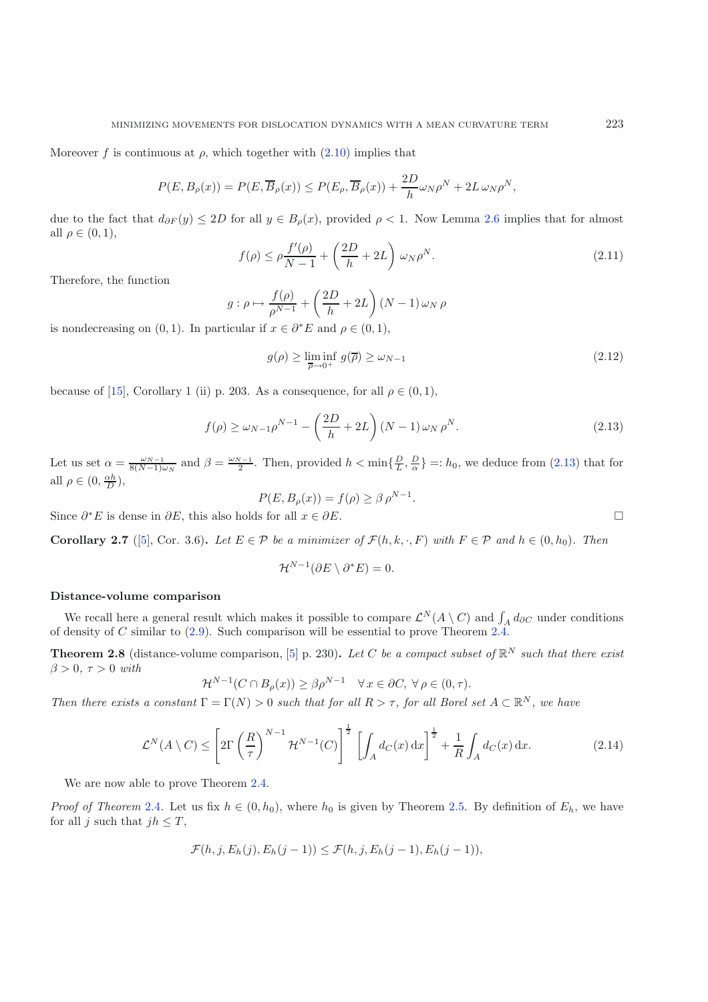Moreover f is continuous at  $\rho$ , which together with  $(2.10)$  implies that

<span id="page-9-4"></span><span id="page-9-3"></span>
$$
P(E, B_{\rho}(x)) = P(E, \overline{B}_{\rho}(x)) \le P(E_{\rho}, \overline{B}_{\rho}(x)) + \frac{2D}{h} \omega_{N} \rho^{N} + 2L \omega_{N} \rho^{N},
$$

<span id="page-9-0"></span>due to the fact that  $d_{\partial F}(y) \leq 2D$  for all  $y \in B_{\rho}(x)$ , provided  $\rho < 1$ . Now Lemma [2.6](#page-8-3) implies that for almost all  $\rho \in (0,1)$ ,

$$
f(\rho) \le \rho \frac{f'(\rho)}{N-1} + \left(\frac{2D}{h} + 2L\right) \omega_N \rho^N.
$$
\n(2.11)

Therefore, the function

$$
g: \rho \mapsto \frac{f(\rho)}{\rho^{N-1}} + \left(\frac{2D}{h} + 2L\right)(N-1)\omega_N \rho
$$

is nondecreasing on  $(0, 1)$ . In particular if  $x \in \partial^* E$  and  $\rho \in (0, 1)$ ,

$$
g(\rho) \ge \liminf_{\overline{\rho}\to 0^+} g(\overline{\rho}) \ge \omega_{N-1}
$$
\n(2.12)

because of [\[15](#page-30-11)], Corollary 1 (ii) p. 203. As a consequence, for all  $\rho \in (0,1)$ ,

$$
f(\rho) \ge \omega_{N-1} \rho^{N-1} - \left(\frac{2D}{h} + 2L\right)(N-1)\omega_N \rho^N. \tag{2.13}
$$

Let us set  $\alpha = \frac{\omega_{N-1}}{8(N-1)\omega_N}$  and  $\beta = \frac{\omega_{N-1}}{2}$ . Then, provided  $h < \min\{\frac{D}{L}, \frac{D}{\alpha}\} =: h_0$ , we deduce from [\(2.13\)](#page-9-0) that for all  $\rho \in (0, \frac{\alpha h}{D}),$ 

$$
P(E, B_{\rho}(x)) = f(\rho) \ge \beta \rho^{N-1}.
$$
  
Since  $\partial^* E$  is dense in  $\partial E$ , this also holds for all  $x \in \partial E$ .

<span id="page-9-2"></span>

**Corollary 2.7** ([\[5](#page-30-1)], Cor. 3.6). *Let*  $E \in \mathcal{P}$  *be a minimizer of*  $\mathcal{F}(h, k, \cdot, F)$  *with*  $F \in \mathcal{P}$  *and*  $h \in (0, h_0)$ *. Then* 

$$
\mathcal{H}^{N-1}(\partial E \setminus \partial^* E) = 0.
$$

#### **Distance-volume comparison**

We recall here a general result which makes it possible to compare  $\mathcal{L}^N(A \setminus C)$  and  $\int_A d_{\partial C}$  under conditions of density of C similar to  $(2.9)$ . Such comparison will be essential to prove Theorem [2.4.](#page-8-0)

<span id="page-9-1"></span>**Theorem 2.8** (distance-volume comparison, [\[5](#page-30-1)] p. 230). Let C be a compact subset of  $\mathbb{R}^N$  such that there exist  $β > 0, τ > 0 with$ 

$$
\mathcal{H}^{N-1}(C \cap B_{\rho}(x)) \ge \beta \rho^{N-1} \quad \forall x \in \partial C, \ \forall \rho \in (0, \tau).
$$

*Then there exists a constant*  $\Gamma = \Gamma(N) > 0$  *such that for all*  $R > \tau$ *, for all Borel set*  $A \subset \mathbb{R}^N$ *, we have* 

$$
\mathcal{L}^N(A \setminus C) \le \left[2\Gamma\left(\frac{R}{\tau}\right)^{N-1} \mathcal{H}^{N-1}(C)\right]^{\frac{1}{2}} \left[\int_A d_C(x) \, \mathrm{d}x\right]^{\frac{1}{2}} + \frac{1}{R} \int_A d_C(x) \, \mathrm{d}x. \tag{2.14}
$$

We are now able to prove Theorem [2.4.](#page-8-0)

*Proof of Theorem* [2.4](#page-8-0). Let us fix  $h \in (0, h_0)$ , where  $h_0$  is given by Theorem [2.5.](#page-8-1) By definition of  $E_h$ , we have for all j such that  $jh \leq T$ ,

$$
\mathcal{F}(h,j,E_h(j),E_h(j-1)) \leq \mathcal{F}(h,j,E_h(j-1),E_h(j-1)),
$$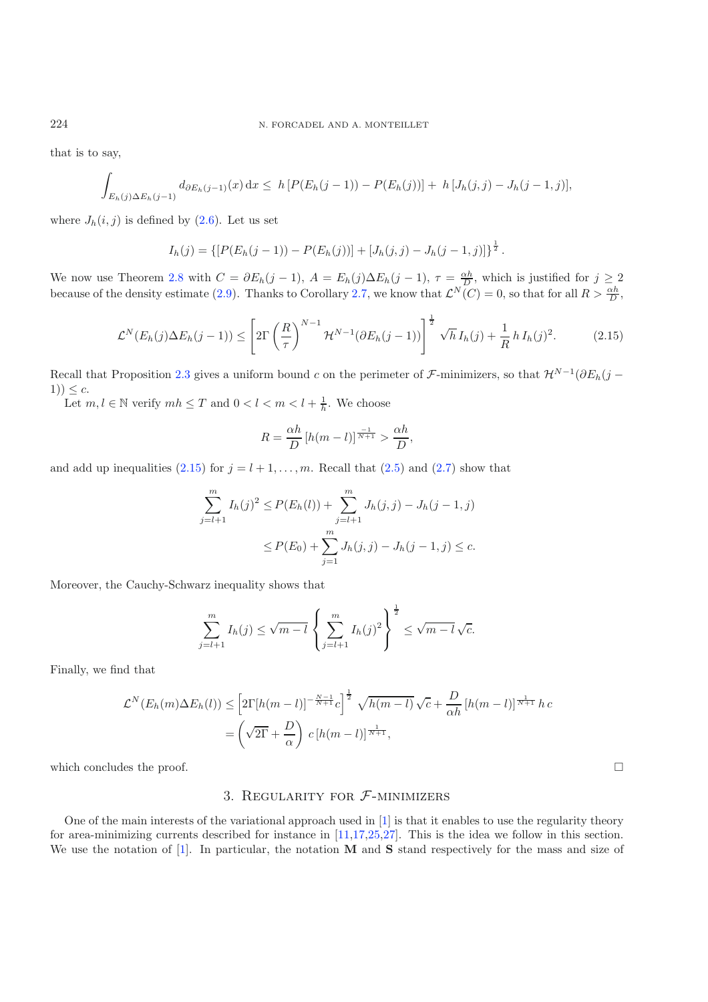<span id="page-10-0"></span>that is to say,

$$
\int_{E_h(j)\Delta E_h(j-1)} d_{\partial E_h(j-1)}(x) dx \leq h \left[ P(E_h(j-1)) - P(E_h(j)) \right] + h \left[ J_h(j,j) - J_h(j-1,j) \right],
$$

where  $J_h(i, j)$  is defined by  $(2.6)$ . Let us set

$$
I_h(j) = \{ [P(E_h(j-1)) - P(E_h(j))] + [J_h(j,j) - J_h(j-1,j)] \}^{\frac{1}{2}}.
$$

We now use Theorem [2.8](#page-9-1) with  $C = \partial E_h(j-1)$ ,  $A = E_h(j)\Delta E_h(j-1)$ ,  $\tau = \frac{\alpha h}{D}$ , which is justified for  $j \ge 2$ because of the density estimate [\(2.9\)](#page-8-4). Thanks to Corollary [2.7,](#page-9-2) we know that  $\mathcal{L}^N(C) = 0$ , so that for all  $R > \frac{\alpha h}{D}$ ,

$$
\mathcal{L}^N(E_h(j)\Delta E_h(j-1)) \le \left[2\Gamma\left(\frac{R}{\tau}\right)^{N-1} \mathcal{H}^{N-1}(\partial E_h(j-1))\right]^{\frac{1}{2}} \sqrt{h} I_h(j) + \frac{1}{R} h I_h(j)^2.
$$
 (2.15)

Recall that Proposition [2.3](#page-6-2) gives a uniform bound c on the perimeter of F-minimizers, so that  $\mathcal{H}^{N-1}(\partial E_h(j 1)$ )  $\leq c$ .

Let  $m, l \in \mathbb{N}$  verify  $mh \leq T$  and  $0 < l < m < l + \frac{1}{h}$ . We choose

$$
R = \frac{\alpha h}{D} \left[ h(m - l) \right]^{\frac{-1}{N+1}} > \frac{\alpha h}{D},
$$

and add up inequalities [\(2.15\)](#page-10-0) for  $j = l + 1, \ldots, m$ . Recall that [\(2.5\)](#page-7-0) and [\(2.7\)](#page-7-2) show that

$$
\sum_{j=l+1}^{m} I_h(j)^2 \le P(E_h(l)) + \sum_{j=l+1}^{m} J_h(j,j) - J_h(j-1,j)
$$
  

$$
\le P(E_0) + \sum_{j=1}^{m} J_h(j,j) - J_h(j-1,j) \le c.
$$

Moreover, the Cauchy-Schwarz inequality shows that

$$
\sum_{j=l+1}^{m} I_h(j) \le \sqrt{m-l} \left\{ \sum_{j=l+1}^{m} I_h(j)^2 \right\}^{\frac{1}{2}} \le \sqrt{m-l} \sqrt{c}.
$$

Finally, we find that

$$
\mathcal{L}^N(E_h(m)\Delta E_h(l)) \le \left[2\Gamma[h(m-l)]^{-\frac{N-1}{N+1}}c\right]^{\frac{1}{2}} \sqrt{h(m-l)}\sqrt{c} + \frac{D}{\alpha h}\left[h(m-l)\right]^{\frac{1}{N+1}}hc
$$
  
=  $\left(\sqrt{2\Gamma} + \frac{D}{\alpha}\right)c\left[h(m-l)\right]^{\frac{1}{N+1}},$ 

which concludes the proof.

### 3. REGULARITY FOR  $F$ -MINIMIZERS

One of the main interests of the variational approach used in [\[1\]](#page-30-0) is that it enables to use the regularity theory for area-minimizing currents described for instance in [\[11](#page-30-13)[,17](#page-30-14)[,25](#page-30-15)[,27](#page-30-16)]. This is the idea we follow in this section. We use the notation of [\[1\]](#page-30-0). In particular, the notation **M** and **S** stand respectively for the mass and size of

 $\Box$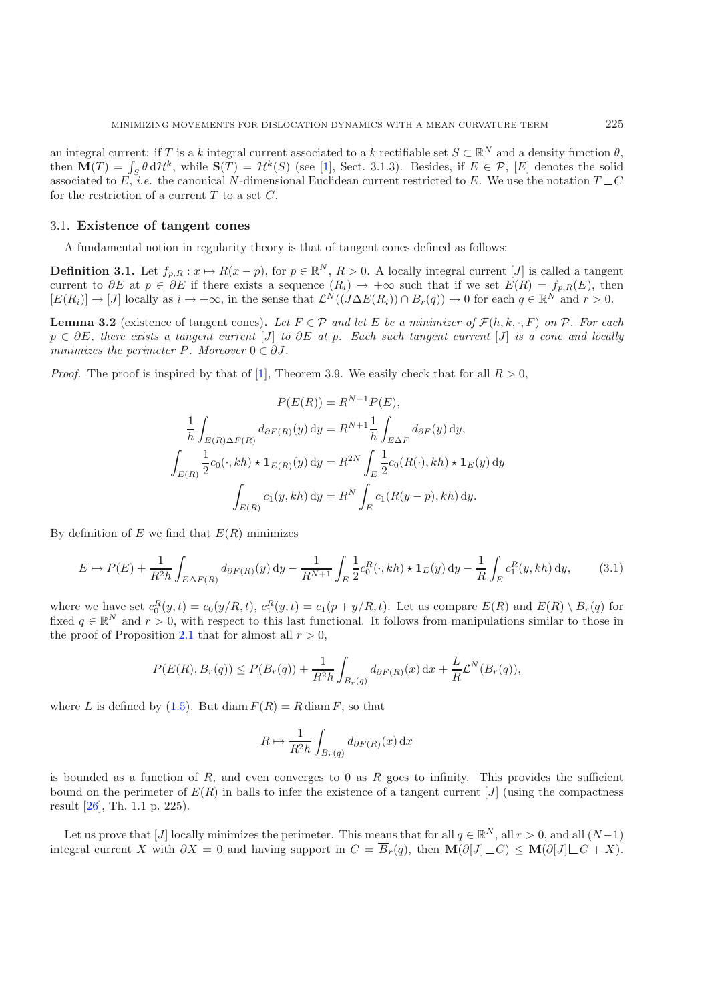an integral current: if T is a k integral current associated to a k rectifiable set  $S \subset \mathbb{R}^N$  and a density function  $\theta$ , then  $\mathbf{M}(T) = \int_S \theta \, d\mathcal{H}^k$ , while  $\mathbf{S}(T) = \mathcal{H}^k(S)$  (see [\[1](#page-30-0)], Sect. 3.1.3). Besides, if  $E \in \mathcal{P}$ , [E] denotes the solid associated to E, *i.e.* the canonical N-dimensional Euclidean current restricted to E. We use the notation  $T \sqcup C$ for the restriction of a current  $T$  to a set  $C$ .

#### 3.1. **Existence of tangent cones**

A fundamental notion in regularity theory is that of tangent cones defined as follows:

**Definition 3.1.** Let  $f_{p,R}: x \mapsto R(x-p)$ , for  $p \in \mathbb{R}^N$ ,  $R > 0$ . A locally integral current [J] is called a tangent current to  $\partial E$  at  $p \in \partial E$  if there exists a sequence  $(R_i) \to +\infty$  such that if we set  $E(R) = f_{p,R}(E)$ , then  $[E(R_i)] \to [J]$  locally as  $i \to +\infty$ , in the sense that  $\mathcal{L}^N((J\Delta E(R_i)) \cap B_r(q)) \to 0$  for each  $q \in \mathbb{R}^N$  and  $r > 0$ .

<span id="page-11-1"></span>**Lemma 3.2** (existence of tangent cones). Let  $F \in \mathcal{P}$  and let E be a minimizer of  $\mathcal{F}(h, k, \cdot, F)$  on  $\mathcal{P}$ . For each p ∈ ∂E*, there exists a tangent current* [J] *to* ∂E *at* p*. Each such tangent current* [J] *is a cone and locally minimizes the perimeter*  $P$ *. Moreover*  $0 \in \partial J$ *.* 

<span id="page-11-0"></span>*Proof.* The proof is inspired by that of [\[1](#page-30-0)], Theorem 3.9. We easily check that for all  $R > 0$ .

$$
P(E(R)) = R^{N-1} P(E),
$$
  
\n
$$
\frac{1}{h} \int_{E(R)\Delta F(R)} d_{\partial F(R)}(y) dy = R^{N+1} \frac{1}{h} \int_{E\Delta F} d_{\partial F}(y) dy,
$$
  
\n
$$
\int_{E(R)} \frac{1}{2} c_0(\cdot, kh) \star \mathbf{1}_{E(R)}(y) dy = R^{2N} \int_E \frac{1}{2} c_0(R(\cdot), kh) \star \mathbf{1}_E(y) dy
$$
  
\n
$$
\int_{E(R)} c_1(y, kh) dy = R^N \int_E c_1(R(y-p), kh) dy.
$$

By definition of  $E$  we find that  $E(R)$  minimizes

$$
E \mapsto P(E) + \frac{1}{R^2 h} \int_{E \Delta F(R)} d_{\partial F(R)}(y) dy - \frac{1}{R^{N+1}} \int_E \frac{1}{2} c_0^R(\cdot, kh) \star \mathbf{1}_E(y) dy - \frac{1}{R} \int_E c_1^R(y, kh) dy,
$$
(3.1)

where we have set  $c_0^R(y,t) = c_0(y/R,t)$ ,  $c_1^R(y,t) = c_1(p+y/R,t)$ . Let us compare  $E(R)$  and  $E(R) \setminus B_r(q)$  for fixed  $q \in \mathbb{R}^N$  and  $r > 0$ , with respect to this last functional. It follows from manipulations similar to those in the proof of Proposition [2.1](#page-5-3) that for almost all  $r > 0$ ,

$$
P(E(R), B_r(q)) \le P(B_r(q)) + \frac{1}{R^2 h} \int_{B_r(q)} d_{\partial F(R)}(x) dx + \frac{L}{R} \mathcal{L}^N(B_r(q)),
$$

where L is defined by  $(1.5)$ . But diam  $F(R) = R \text{ diam } F$ , so that

$$
R \mapsto \frac{1}{R^2 h} \int_{B_r(q)} d_{\partial F(R)}(x) \, dx
$$

is bounded as a function of R, and even converges to 0 as R goes to infinity. This provides the sufficient bound on the perimeter of  $E(R)$  in balls to infer the existence of a tangent current  $[J]$  (using the compactness result [\[26\]](#page-30-17), Th. 1.1 p. 225).

Let us prove that [J] locally minimizes the perimeter. This means that for all  $q \in \mathbb{R}^N$ , all  $r > 0$ , and all  $(N-1)$ integral current X with  $\partial X = 0$  and having support in  $C = \overline{B}_r(q)$ , then  $\mathbf{M}(\partial[J] \sqcup C) \leq \mathbf{M}(\partial[J] \sqcup C + X)$ .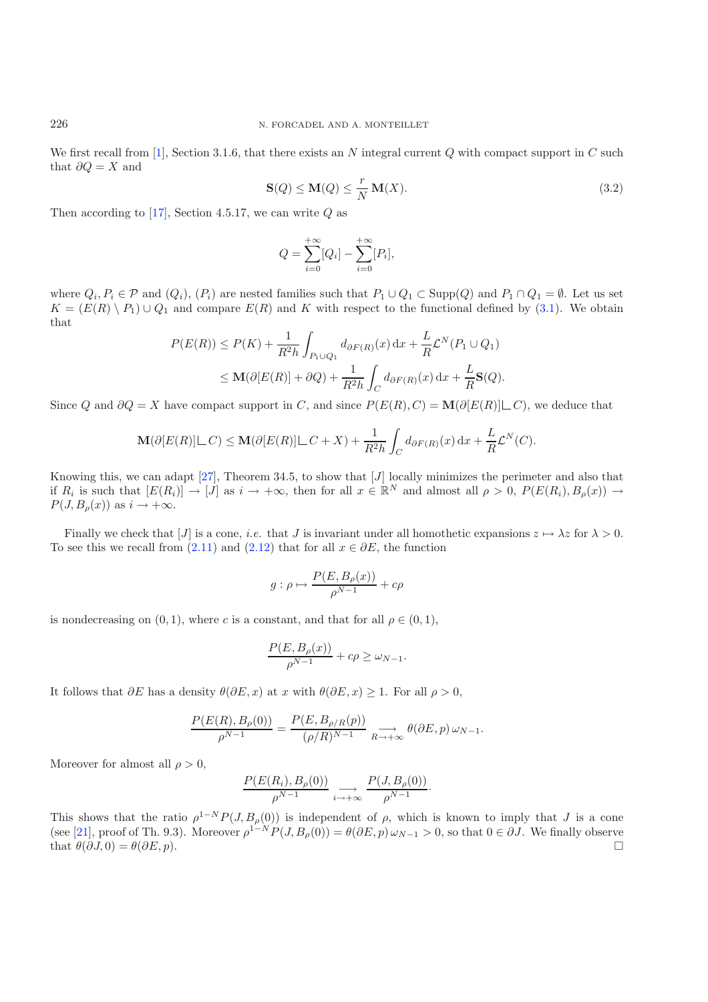We first recall from [\[1](#page-30-0)], Section 3.1.6, that there exists an N integral current Q with compact support in C such that  $\partial Q = X$  and

$$
\mathbf{S}(Q) \le \mathbf{M}(Q) \le \frac{r}{N} \mathbf{M}(X). \tag{3.2}
$$

Then according to [\[17\]](#page-30-14), Section 4.5.17, we can write  $Q$  as

$$
Q = \sum_{i=0}^{+\infty} [Q_i] - \sum_{i=0}^{+\infty} [P_i],
$$

where  $Q_i, P_i \in \mathcal{P}$  and  $(Q_i), (P_i)$  are nested families such that  $P_1 \cup Q_1 \subset \text{Supp}(Q)$  and  $P_1 \cap Q_1 = \emptyset$ . Let us set  $K = (E(R) \setminus P_1) \cup Q_1$  and compare  $E(R)$  and K with respect to the functional defined by [\(3.1\)](#page-11-0). We obtain that

$$
P(E(R)) \le P(K) + \frac{1}{R^2h} \int_{P_1 \cup Q_1} d_{\partial F(R)}(x) dx + \frac{L}{R} \mathcal{L}^N(P_1 \cup Q_1)
$$
  

$$
\le \mathbf{M}(\partial [E(R)] + \partial Q) + \frac{1}{R^2h} \int_C d_{\partial F(R)}(x) dx + \frac{L}{R} \mathbf{S}(Q).
$$

Since Q and  $\partial Q = X$  have compact support in C, and since  $P(E(R), C) = \mathbf{M}(\partial [E(R)] \cup C)$ , we deduce that

$$
\mathbf{M}(\partial [E(R)] \sqcup C) \le \mathbf{M}(\partial [E(R)] \sqcup C + X) + \frac{1}{R^2 h} \int_C d_{\partial F(R)}(x) dx + \frac{L}{R} \mathcal{L}^N(C).
$$

Knowing this, we can adapt  $[27]$  $[27]$ , Theorem 34.5, to show that  $[J]$  locally minimizes the perimeter and also that if  $R_i$  is such that  $[E(R_i)] \to [J]$  as  $i \to +\infty$ , then for all  $x \in \mathbb{R}^N$  and almost all  $\rho > 0$ ,  $P(E(R_i), B_\rho(x)) \to$  $P(J, B<sub>o</sub>(x))$  as  $i \rightarrow +\infty$ .

Finally we check that [J] is a cone, *i.e.* that J is invariant under all homothetic expansions  $z \mapsto \lambda z$  for  $\lambda > 0$ . To see this we recall from [\(2.11\)](#page-9-3) and [\(2.12\)](#page-9-4) that for all  $x \in \partial E$ , the function

$$
g: \rho \mapsto \frac{P(E, B_{\rho}(x))}{\rho^{N-1}} + c\rho
$$

is nondecreasing on  $(0, 1)$ , where c is a constant, and that for all  $\rho \in (0, 1)$ ,

$$
\frac{P(E, B_{\rho}(x))}{\rho^{N-1}} + c\rho \ge \omega_{N-1}.
$$

It follows that  $\partial E$  has a density  $\theta(\partial E, x)$  at x with  $\theta(\partial E, x) \geq 1$ . For all  $\rho > 0$ ,

$$
\frac{P(E(R), B_{\rho}(0))}{\rho^{N-1}} = \frac{P(E, B_{\rho/R}(p))}{(\rho/R)^{N-1}} \underset{R \to +\infty}{\longrightarrow} \theta(\partial E, p) \omega_{N-1}.
$$

Moreover for almost all  $\rho > 0$ ,

$$
\frac{P(E(R_i), B_{\rho}(0))}{\rho^{N-1}} \underset{i \to +\infty}{\longrightarrow} \frac{P(J, B_{\rho}(0))}{\rho^{N-1}}.
$$

This shows that the ratio  $\rho^{1-N} P(J, B_\rho(0))$  is independent of  $\rho$ , which is known to imply that J is a cone (see [\[21](#page-30-18)], proof of Th. 9.3). Moreover  $\rho^{1-N} P(J, B_\rho(0)) = \theta(\partial E, p) \omega_{N-1} > 0$ , so that  $0 \in \partial J$ . We finally observe that  $\theta(\partial J, 0) = \theta(\partial E, p).$ 

<span id="page-12-0"></span>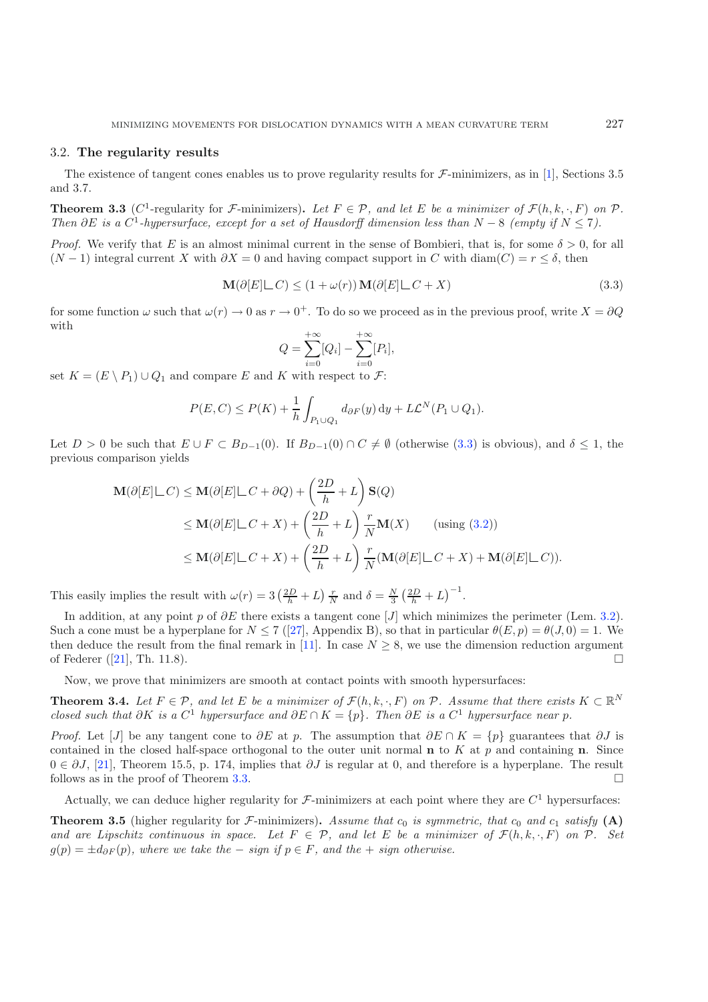#### <span id="page-13-0"></span>3.2. **The regularity results**

<span id="page-13-1"></span>The existence of tangent cones enables us to prove regularity results for  $\mathcal F$ -minimizers, as in [\[1\]](#page-30-0), Sections 3.5 and 3.7.

**Theorem 3.3** (C<sup>1</sup>-regularity for F-minimizers). Let  $F \in \mathcal{P}$ , and let E be a minimizer of  $\mathcal{F}(h, k, \cdot, F)$  on  $\mathcal{P}$ . *Then*  $\partial E$  *is a*  $C^1$ -*hypersurface, except for a set of Hausdorff dimension less than*  $N - 8$  *(empty if*  $N \leq 7$ *).* 

*Proof.* We verify that E is an almost minimal current in the sense of Bombieri, that is, for some  $\delta > 0$ , for all  $(N-1)$  integral current X with  $\partial X = 0$  and having compact support in C with diam $(C) = r \leq \delta$ , then

$$
\mathbf{M}(\partial[E] \sqcup C) \le (1 + \omega(r)) \mathbf{M}(\partial[E] \sqcup C + X) \tag{3.3}
$$

for some function  $\omega$  such that  $\omega(r) \to 0$  as  $r \to 0^+$ . To do so we proceed as in the previous proof, write  $X = \partial Q$ with

$$
Q = \sum_{i=0}^{+\infty} [Q_i] - \sum_{i=0}^{+\infty} [P_i],
$$

set  $K = (E \setminus P_1) \cup Q_1$  and compare E and K with respect to  $\mathcal{F}$ :

$$
P(E, C) \le P(K) + \frac{1}{h} \int_{P_1 \cup Q_1} d_{\partial F}(y) dy + L\mathcal{L}^N(P_1 \cup Q_1).
$$

Let  $D > 0$  be such that  $E \cup F \subset B_{D-1}(0)$ . If  $B_{D-1}(0) \cap C \neq \emptyset$  (otherwise [\(3.3\)](#page-13-0) is obvious), and  $\delta \leq 1$ , the previous comparison yields

$$
\mathbf{M}(\partial[E]\sqcup C) \le \mathbf{M}(\partial[E]\sqcup C + \partial Q) + \left(\frac{2D}{h} + L\right)\mathbf{S}(Q)
$$
\n
$$
\le \mathbf{M}(\partial[E]\sqcup C + X) + \left(\frac{2D}{h} + L\right)\frac{r}{N}\mathbf{M}(X) \qquad \text{(using (3.2))}
$$
\n
$$
\le \mathbf{M}(\partial[E]\sqcup C + X) + \left(\frac{2D}{h} + L\right)\frac{r}{N}(\mathbf{M}(\partial[E]\sqcup C + X) + \mathbf{M}(\partial[E]\sqcup C)).
$$

This easily implies the result with  $\omega(r) = 3 \left(\frac{2D}{h} + L\right) \frac{r}{N}$  and  $\delta = \frac{N}{3} \left(\frac{2D}{h} + L\right)^{-1}$ .

In addition, at any point p of  $\partial E$  there exists a tangent cone [J] which minimizes the perimeter (Lem. [3.2\)](#page-11-1). Such a cone must be a hyperplane for  $N \le 7$  ([\[27\]](#page-30-16), Appendix B), so that in particular  $\theta(E, p) = \theta(J, 0) = 1$ . We then deduce the result from the final remark in [\[11\]](#page-30-13). In case  $N \geq 8$ , we use the dimension reduction argument of Federer  $([21], \text{ Th. } 11.8)$  $([21], \text{ Th. } 11.8)$  $([21], \text{ Th. } 11.8)$ .

Now, we prove that minimizers are smooth at contact points with smooth hypersurfaces:

<span id="page-13-3"></span>**Theorem 3.4.** *Let*  $F \in \mathcal{P}$ *, and let*  $E$  *be a minimizer of*  $\mathcal{F}(h, k, \cdot, F)$  *on*  $\mathcal{P}$ *. Assume that there exists*  $K \subset \mathbb{R}^N$ *closed such that*  $\partial K$  *is a*  $C^1$  *hypersurface and*  $\partial E \cap K = \{p\}$ *. Then*  $\partial E$  *is a*  $C^1$  *hypersurface near* p.

*Proof.* Let [J] be any tangent cone to  $\partial E$  at p. The assumption that  $\partial E \cap K = \{p\}$  guarantees that  $\partial J$  is contained in the closed half-space orthogonal to the outer unit normal **n** to K at  $p$  and containing **n**. Since  $0 \in \partial J$ , [\[21\]](#page-30-18), Theorem 15.5, p. 174, implies that  $\partial J$  is regular at 0, and therefore is a hyperplane. The result follows as in the proof of Theorem [3.3.](#page-13-1)

Actually, we can deduce higher regularity for  $\mathcal F$ -minimizers at each point where they are  $C^1$  hypersurfaces:

<span id="page-13-2"></span>**Theorem 3.5** (higher regularity for F-minimizers). Assume that  $c_0$  is symmetric, that  $c_0$  and  $c_1$  satisfy (A) *and are Lipschitz continuous in space. Let*  $F \in \mathcal{P}$ , and let E be a minimizer of  $\mathcal{F}(h, k, \cdot, F)$  on  $\mathcal{P}$ . Set  $g(p) = \pm d_{\partial F}(p)$ , where we take the – *sign* if  $p \in F$ , and the + *sign* otherwise.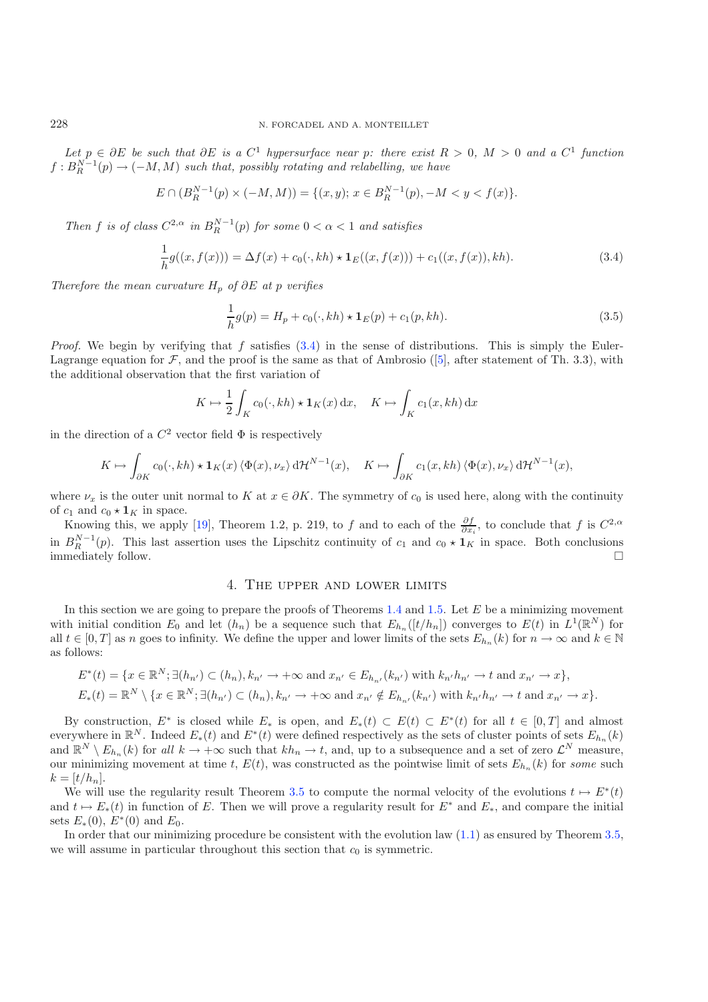*Let*  $p \in \partial E$  *be such that*  $\partial E$  *is a*  $C^1$  *hypersurface near*  $p$ *: there exist*  $R > 0$ *,*  $M > 0$  *and a*  $C^1$  *function*  $f : B_R^{N-1}(p) \to (-M, M)$  such that, possibly rotating and relabelling, we have

<span id="page-14-1"></span>
$$
E \cap (B_R^{N-1}(p) \times (-M, M)) = \{(x, y); x \in B_R^{N-1}(p), -M < y < f(x)\}.
$$

*Then* f *is of class*  $C^{2,\alpha}$  *in*  $B_R^{N-1}(p)$  *for some*  $0 < \alpha < 1$  *and satisfies* 

$$
\frac{1}{h}g((x,f(x))) = \Delta f(x) + c_0(\cdot, kh) \star \mathbf{1}_E((x,f(x))) + c_1((x,f(x)),kh). \tag{3.4}
$$

*Therefore the mean curvature*  $H_p$  *of* ∂E *at* p *verifies* 

$$
\frac{1}{h}g(p) = H_p + c_0(\cdot, kh) \star \mathbf{1}_E(p) + c_1(p, kh).
$$
\n(3.5)

*Proof.* We begin by verifying that f satisfies  $(3.4)$  in the sense of distributions. This is simply the Euler-Lagrange equation for  $\mathcal F$ , and the proof is the same as that of Ambrosio ([\[5\]](#page-30-1), after statement of Th. 3.3), with the additional observation that the first variation of

$$
K \mapsto \frac{1}{2} \int_{K} c_0(\cdot, kh) \star \mathbf{1}_K(x) \,dx, \quad K \mapsto \int_{K} c_1(x, kh) \,dx
$$

in the direction of a  $C^2$  vector field  $\Phi$  is respectively

$$
K \mapsto \int_{\partial K} c_0(\cdot,\boldsymbol{k} h) \star \mathbf{1}_K(\boldsymbol{x}) \left\langle \Phi(\boldsymbol{x}), \nu_{\boldsymbol{x}} \right\rangle \mathrm{d} \mathcal{H}^{N-1}(\boldsymbol{x}), \quad K \mapsto \int_{\partial K} c_1(\boldsymbol{x},\boldsymbol{k} h) \left\langle \Phi(\boldsymbol{x}), \nu_{\boldsymbol{x}} \right\rangle \mathrm{d} \mathcal{H}^{N-1}(\boldsymbol{x}),
$$

where  $\nu_x$  is the outer unit normal to K at  $x \in \partial K$ . The symmetry of  $c_0$  is used here, along with the continuity of  $c_1$  and  $c_0 \star \mathbf{1}_K$  in space.

Knowing this, we apply [\[19\]](#page-30-19), Theorem 1.2, p. 219, to f and to each of the  $\frac{\partial f}{\partial x_i}$ , to conclude that f is  $C^{2,\alpha}$ in  $B_R^{N-1}(p)$ . This last assertion uses the Lipschitz continuity of  $c_1$  and  $c_0 \star \mathbf{1}_K$  in space. Both conclusions immediately follow.  $\Box$ 

### 4. The upper and lower limits

In this section we are going to prepare the proofs of Theorems  $1.4$  and  $1.5$ . Let  $E$  be a minimizing movement with initial condition  $E_0$  and let  $(h_n)$  be a sequence such that  $E_{h_n}([t/h_n])$  converges to  $E(t)$  in  $L^1(\mathbb{R}^N)$  for all  $t \in [0, T]$  as n goes to infinity. We define the upper and lower limits of the sets  $E_{h_n}(k)$  for  $n \to \infty$  and  $k \in \mathbb{N}$ as follows:

$$
E^*(t) = \{x \in \mathbb{R}^N; \exists (h_{n'}) \subset (h_n), k_{n'} \to +\infty \text{ and } x_{n'} \in E_{h_{n'}}(k_{n'}) \text{ with } k_{n'}h_{n'} \to t \text{ and } x_{n'} \to x\},
$$
  

$$
E_*(t) = \mathbb{R}^N \setminus \{x \in \mathbb{R}^N; \exists (h_{n'}) \subset (h_n), k_{n'} \to +\infty \text{ and } x_{n'} \notin E_{h_{n'}}(k_{n'}) \text{ with } k_{n'}h_{n'} \to t \text{ and } x_{n'} \to x\}.
$$

By construction,  $E^*$  is closed while  $E_*$  is open, and  $E_*(t) \subset E(t) \subset E^*(t)$  for all  $t \in [0,T]$  and almost everywhere in  $\mathbb{R}^N$ . Indeed  $E_*(t)$  and  $E^*(t)$  were defined respectively as the sets of cluster points of sets  $E_{h_n}(k)$ and  $\mathbb{R}^N \setminus E_{h_n}(k)$  for all  $k \to +\infty$  such that  $kh_n \to t$ , and, up to a subsequence and a set of zero  $\mathcal{L}^N$  measure, our minimizing movement at time t,  $E(t)$ , was constructed as the pointwise limit of sets  $E_{h_n}(k)$  for *some* such  $k = [t/h_n].$ 

We will use the regularity result Theorem [3.5](#page-13-2) to compute the normal velocity of the evolutions  $t \mapsto E^*(t)$ and  $t \mapsto E_*(t)$  in function of E. Then we will prove a regularity result for  $E^*$  and  $E_*$ , and compare the initial sets  $E_*(0)$ ,  $E^*(0)$  and  $E_0$ .

In order that our minimizing procedure be consistent with the evolution law  $(1.1)$  as ensured by Theorem [3.5,](#page-13-2) we will assume in particular throughout this section that  $c_0$  is symmetric.

<span id="page-14-0"></span>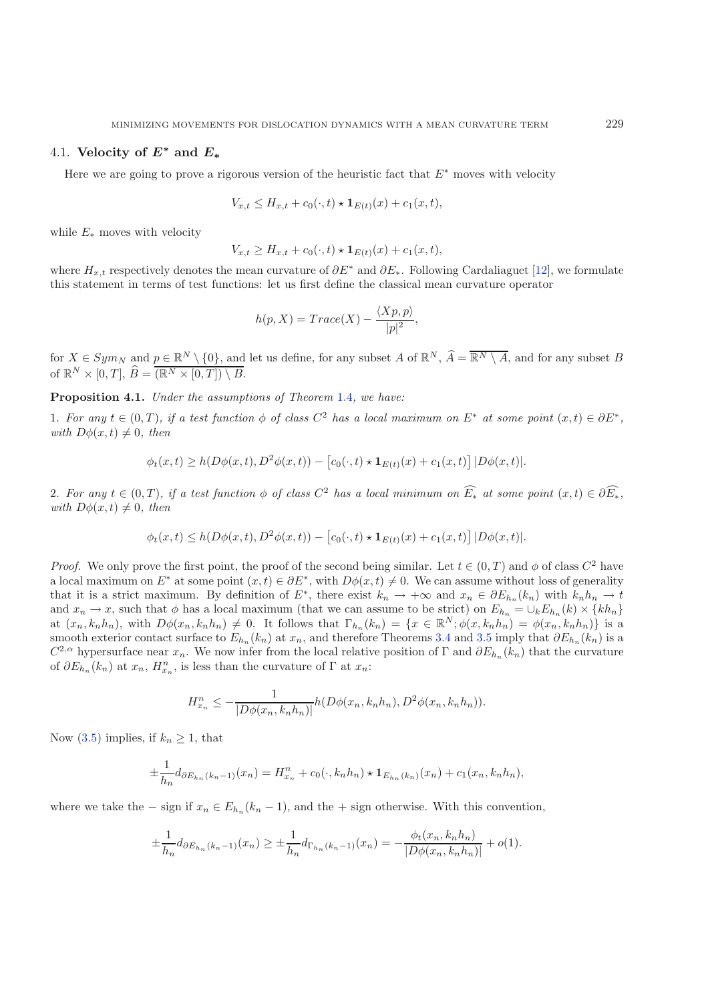### 4.1. **Velocity of** *E<sup>∗</sup>* **and** *E<sup>∗</sup>*

Here we are going to prove a rigorous version of the heuristic fact that  $E^*$  moves with velocity

$$
V_{x,t} \leq H_{x,t} + c_0(\cdot, t) \star \mathbf{1}_{E(t)}(x) + c_1(x,t),
$$

while  $E_*$  moves with velocity

$$
V_{x,t} \ge H_{x,t} + c_0(\cdot, t) \star \mathbf{1}_{E(t)}(x) + c_1(x,t),
$$

where  $H_{x,t}$  respectively denotes the mean curvature of  $\partial E^*$  and  $\partial E_*$ . Following Cardaliaguet [\[12\]](#page-30-12), we formulate this statement in terms of test functions: let us first define the classical mean curvature operator

$$
h(p, X) = Trace(X) - \frac{\langle Xp, p \rangle}{|p|^2},
$$

for  $X \in Sym_N$  and  $p \in \mathbb{R}^N \setminus \{0\}$ , and let us define, for any subset A of  $\mathbb{R}^N$ ,  $\widehat{A} = \overline{\mathbb{R}^N \setminus A}$ , and for any subset B of  $\mathbb{R}^N \times [0, T], \,\widehat{B} = \overline{(\mathbb{R}^N \times [0, T]) \setminus B}.$ 

<span id="page-15-0"></span>**Proposition 4.1.** *Under the assumptions of Theorem* [1.4](#page-4-4)*, we have:*

1. For any  $t \in (0, T)$ , if a test function  $\phi$  of class  $C^2$  has a local maximum on  $E^*$  at some point  $(x, t) \in \partial E^*$ , *with*  $D\phi(x,t) \neq 0$ *, then* 

$$
\phi_t(x,t) \ge h(D\phi(x,t), D^2\phi(x,t)) - [c_0(\cdot,t) \star \mathbf{1}_{E(t)}(x) + c_1(x,t)] |D\phi(x,t)|.
$$

2. For any  $t \in (0,T)$ , if a test function  $\phi$  of class  $C^2$  has a local minimum on  $\widetilde{E_*}$  at some point  $(x,t) \in \partial \widetilde{E_*}$ , *with*  $D\phi(x, t) \neq 0$ *, then* 

$$
\phi_t(x,t) \le h(D\phi(x,t), D^2\phi(x,t)) - [c_0(\cdot,t) \star \mathbf{1}_{E(t)}(x) + c_1(x,t)] |D\phi(x,t)|.
$$

*Proof.* We only prove the first point, the proof of the second being similar. Let  $t \in (0,T)$  and  $\phi$  of class  $C^2$  have a local maximum on  $E^*$  at some point  $(x, t) \in \partial E^*$ , with  $D\phi(x, t) \neq 0$ . We can assume without loss of generality that it is a strict maximum. By definition of  $E^*$ , there exist  $k_n \to +\infty$  and  $x_n \in \partial E_{h_n}(k_n)$  with  $k_n h_n \to t$ and  $x_n \to x$ , such that  $\phi$  has a local maximum (that we can assume to be strict) on  $E_{h_n} = \bigcup_k E_{h_n}(k) \times \{kh_n\}$ at  $(x_n, k_n h_n)$ , with  $D\phi(x_n, k_n h_n) \neq 0$ . It follows that  $\Gamma_{h_n}(k_n) = \{x \in \mathbb{R}^N; \phi(x, k_n h_n) = \phi(x_n, k_n h_n)\}\$ is a smooth exterior contact surface to  $E_{h_n}(k_n)$  at  $x_n$ , and therefore Theorems [3.4](#page-13-3) and [3.5](#page-13-2) imply that  $\partial E_{h_n}(k_n)$  is a  $C^{2,\alpha}$  hypersurface near  $x_n$ . We now infer from the local relative position of Γ and  $\partial E_{h_n}(k_n)$  that the curvature of  $\partial E_{h_n}(k_n)$  at  $x_n$ ,  $H_{x_n}^n$ , is less than the curvature of  $\Gamma$  at  $x_n$ :

$$
H_{x_n}^n \leq -\frac{1}{|D\phi(x_n, k_n h_n)|} h(D\phi(x_n, k_n h_n), D^2\phi(x_n, k_n h_n)).
$$

Now [\(3.5\)](#page-14-1) implies, if  $k_n \geq 1$ , that

$$
\pm \frac{1}{h_n} d_{\partial E_{h_n}(k_n-1)}(x_n) = H_{x_n}^n + c_0(\cdot, k_n h_n) \star \mathbf{1}_{E_{h_n}(k_n)}(x_n) + c_1(x_n, k_n h_n),
$$

where we take the – sign if  $x_n \in E_{h_n}(k_n - 1)$ , and the + sign otherwise. With this convention,

$$
\pm \frac{1}{h_n} d_{\partial E_{h_n}(k_n-1)}(x_n) \ge \pm \frac{1}{h_n} d_{\Gamma_{h_n}(k_n-1)}(x_n) = -\frac{\phi_t(x_n, k_n h_n)}{|D\phi(x_n, k_n h_n)|} + o(1).
$$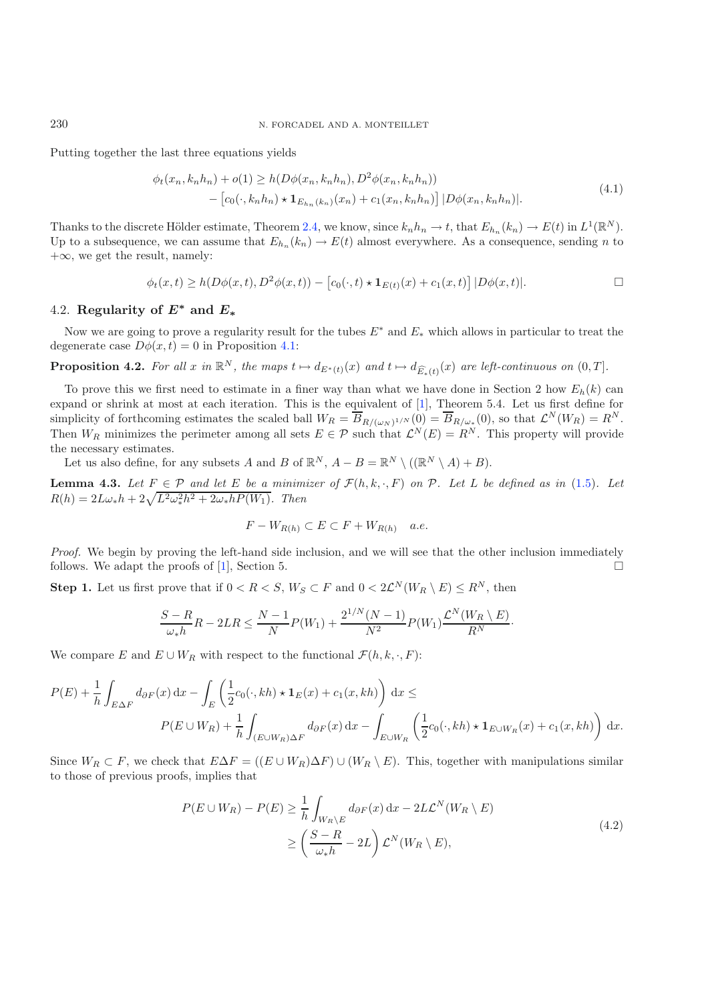230 N. FORCADEL AND A. MONTEILLET

Putting together the last three equations yields

$$
\phi_t(x_n, k_n h_n) + o(1) \ge h(D\phi(x_n, k_n h_n), D^2\phi(x_n, k_n h_n)) - [c_0(\cdot, k_n h_n) \star \mathbf{1}_{E_{h_n}(k_n)}(x_n) + c_1(x_n, k_n h_n)] |D\phi(x_n, k_n h_n)|.
$$
\n(4.1)

Thanks to the discrete Hölder estimate, Theorem [2.4,](#page-8-0) we know, since  $k_n h_n \to t$ , that  $E_{h_n}(k_n) \to E(t)$  in  $L^1(\mathbb{R}^N)$ . Up to a subsequence, we can assume that  $E_{h_n}(k_n) \to E(t)$  almost everywhere. As a consequence, sending n to  $+\infty$ , we get the result, namely:

$$
\phi_t(x,t) \ge h(D\phi(x,t), D^2\phi(x,t)) - [c_0(\cdot,t) \star \mathbf{1}_{E(t)}(x) + c_1(x,t)] |D\phi(x,t)|.
$$

### 4.2. **Regularity of** *E<sup>∗</sup>* **and** *E<sup>∗</sup>*

<span id="page-16-2"></span>Now we are going to prove a regularity result for the tubes  $E^*$  and  $E_*$  which allows in particular to treat the degenerate case  $D\phi(x,t) = 0$  in Proposition [4.1:](#page-15-0)

**Proposition 4.2.** For all x in  $\mathbb{R}^N$ , the maps  $t \mapsto d_{E^*(t)}(x)$  and  $t \mapsto d_{\widehat{E}_*(t)}(x)$  are left-continuous on  $(0,T]$ .

To prove this we first need to estimate in a finer way than what we have done in Section 2 how  $E_h(k)$  can expand or shrink at most at each iteration. This is the equivalent of [\[1](#page-30-0)], Theorem 5.4. Let us first define for simplicity of forthcoming estimates the scaled ball  $W_R = \overline{B}_{R/(\omega_N)^{1/N}}(0) = \overline{B}_{R/\omega_{\ast}}(0)$ , so that  $\mathcal{L}^N(W_R) = R^N$ . Then  $W_R$  minimizes the perimeter among all sets  $E \in \mathcal{P}$  such that  $\mathcal{L}^N(E) = R^N$ . This property will provide the necessary estimates.

Let us also define, for any subsets A and B of  $\mathbb{R}^N$ ,  $A - B = \mathbb{R}^N \setminus ((\mathbb{R}^N \setminus A) + B)$ .

<span id="page-16-0"></span>**Lemma 4.3.** Let  $F \in \mathcal{P}$  and let E be a minimizer of  $\mathcal{F}(h, k, \cdot, F)$  on  $\mathcal{P}$ . Let L be defined as in [\(1.5\)](#page-3-0). Let  $R(h) = 2L\omega_* h + 2\sqrt{L^2\omega_*^2h^2 + 2\omega_*hP(W_1)}$ . Then

$$
F - W_{R(h)} \subset E \subset F + W_{R(h)} \quad a.e.
$$

*Proof.* We begin by proving the left-hand side inclusion, and we will see that the other inclusion immediately follows. We adapt the proofs of [\[1](#page-30-0)], Section 5.  $\Box$ 

**Step 1.** Let us first prove that if  $0 < R < S$ ,  $W_S \subset F$  and  $0 < 2\mathcal{L}^N(W_R \setminus E) \le R^N$ , then

$$
\frac{S-R}{\omega_* h}R - 2LR \le \frac{N-1}{N}P(W_1) + \frac{2^{1/N}(N-1)}{N^2}P(W_1)\frac{\mathcal{L}^N(W_R \setminus E)}{R^N}.
$$

<span id="page-16-1"></span>We compare E and  $E \cup W_R$  with respect to the functional  $\mathcal{F}(h, k, \cdot, F)$ :

$$
P(E) + \frac{1}{h} \int_{E\Delta F} d\delta F(x) dx - \int_{E} \left( \frac{1}{2} c_0(\cdot, kh) \star \mathbf{1}_E(x) + c_1(x, kh) \right) dx \le
$$
  

$$
P(E \cup W_R) + \frac{1}{h} \int_{(E \cup W_R)\Delta F} d\delta F(x) dx - \int_{E \cup W_R} \left( \frac{1}{2} c_0(\cdot, kh) \star \mathbf{1}_{E \cup W_R}(x) + c_1(x, kh) \right) dx.
$$

Since  $W_R \subset F$ , we check that  $E\Delta F = ((E \cup W_R)\Delta F) \cup (W_R \setminus E)$ . This, together with manipulations similar to those of previous proofs, implies that

$$
P(E \cup W_R) - P(E) \ge \frac{1}{h} \int_{W_R \backslash E} d_{\partial F}(x) dx - 2L\mathcal{L}^N(W_R \backslash E)
$$
  
 
$$
\ge \left(\frac{S - R}{\omega_* h} - 2L\right) \mathcal{L}^N(W_R \backslash E), \tag{4.2}
$$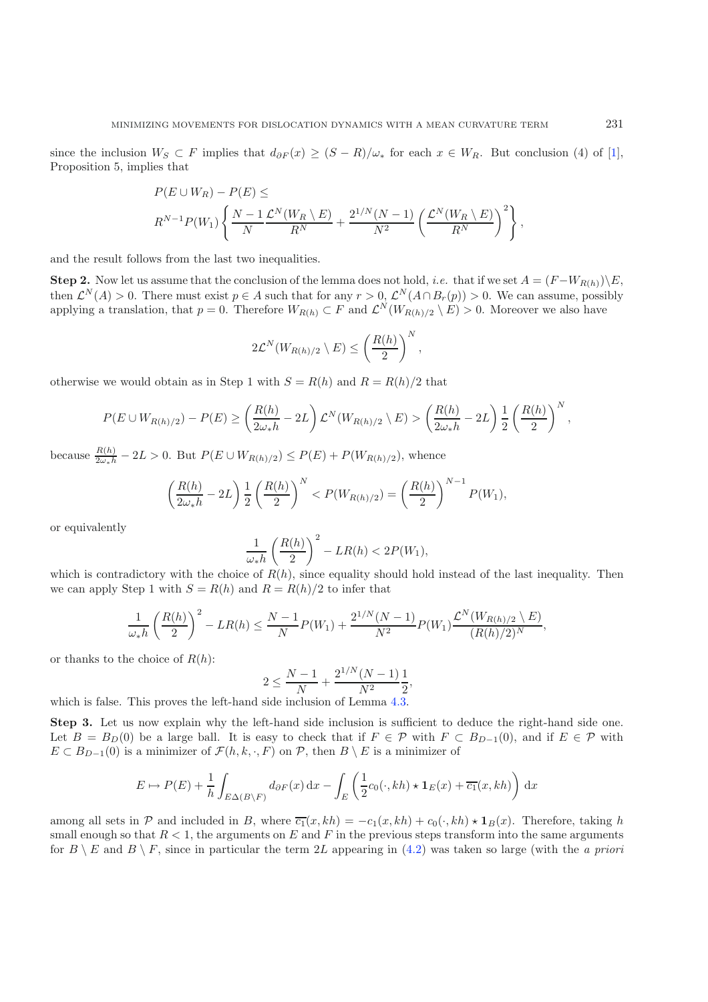since the inclusion  $W_S \subset F$  implies that  $d_{\partial F}(x) \geq (S - R)/\omega_*$  for each  $x \in W_R$ . But conclusion (4) of [\[1\]](#page-30-0), Proposition 5, implies that

$$
P(E \cup W_R) - P(E) \le
$$
  

$$
R^{N-1} P(W_1) \left\{ \frac{N-1}{N} \frac{\mathcal{L}^N(W_R \setminus E)}{R^N} + \frac{2^{1/N}(N-1)}{N^2} \left( \frac{\mathcal{L}^N(W_R \setminus E)}{R^N} \right)^2 \right\},
$$

and the result follows from the last two inequalities.

**Step 2.** Now let us assume that the conclusion of the lemma does not hold, *i.e.* that if we set  $A = (F-W_{R(h)})\E$ , then  $\mathcal{L}^N(A) > 0$ . There must exist  $p \in A$  such that for any  $r > 0$ ,  $\mathcal{L}^N(A \cap B_r(p)) > 0$ . We can assume, possibly applying a translation, that  $p = 0$ . Therefore  $W_{R(h)} \subset F$  and  $\mathcal{L}^N(W_{R(h)/2} \setminus E) > 0$ . Moreover we also have

$$
2\mathcal{L}^N(W_{R(h)/2} \setminus E) \leq \left(\frac{R(h)}{2}\right)^N,
$$

otherwise we would obtain as in Step 1 with  $S = R(h)$  and  $R = R(h)/2$  that

$$
P(E \cup W_{R(h)/2}) - P(E) \geq \left(\frac{R(h)}{2\omega_*h} - 2L\right)\mathcal{L}^N(W_{R(h)/2} \setminus E) > \left(\frac{R(h)}{2\omega_*h} - 2L\right)\frac{1}{2}\left(\frac{R(h)}{2}\right)^N,
$$

because  $\frac{R(h)}{2\omega_*h} - 2L > 0$ . But  $P(E \cup W_{R(h)/2}) \le P(E) + P(W_{R(h)/2})$ , whence

$$
\left(\frac{R(h)}{2\omega_*h} - 2L\right) \frac{1}{2} \left(\frac{R(h)}{2}\right)^N < P(W_{R(h)/2}) = \left(\frac{R(h)}{2}\right)^{N-1} P(W_1),
$$

or equivalently

$$
\frac{1}{\omega_* h} \left( \frac{R(h)}{2} \right)^2 - LR(h) < 2P(W_1),
$$

which is contradictory with the choice of  $R(h)$ , since equality should hold instead of the last inequality. Then we can apply Step 1 with  $S = R(h)$  and  $R = R(h)/2$  to infer that

$$
\frac{1}{\omega_* h} \left( \frac{R(h)}{2} \right)^2 - LR(h) \le \frac{N-1}{N} P(W_1) + \frac{2^{1/N} (N-1)}{N^2} P(W_1) \frac{\mathcal{L}^N(W_{R(h)/2} \setminus E)}{(R(h)/2)^N},
$$

or thanks to the choice of  $R(h)$ :

$$
2 \le \frac{N-1}{N} + \frac{2^{1/N}(N-1)}{N^2} \frac{1}{2},
$$

which is false. This proves the left-hand side inclusion of Lemma  $4.3$ .

**Step 3.** Let us now explain why the left-hand side inclusion is sufficient to deduce the right-hand side one. Let  $B = B_D(0)$  be a large ball. It is easy to check that if  $F \in \mathcal{P}$  with  $F \subset B_{D-1}(0)$ , and if  $E \in \mathcal{P}$  with  $E \subset B_{D-1}(0)$  is a minimizer of  $\mathcal{F}(h, k, \cdot, F)$  on  $\mathcal{P}$ , then  $B \setminus E$  is a minimizer of

$$
E \mapsto P(E) + \frac{1}{h} \int_{E\Delta(B\backslash F)} d_{\partial F}(x) dx - \int_{E} \left( \frac{1}{2} c_0(\cdot, kh) \star \mathbf{1}_E(x) + \overline{c_1}(x, kh) \right) dx
$$

among all sets in  $P$  and included in B, where  $\overline{c_1}(x, kh) = -c_1(x, kh) + c_0(\cdot, kh) \star \mathbf{1}_B(x)$ . Therefore, taking h small enough so that  $R < 1$ , the arguments on E and F in the previous steps transform into the same arguments for  $B \setminus E$  and  $B \setminus F$ , since in particular the term 2L appearing in [\(4.2\)](#page-16-1) was taken so large (with the *a priori*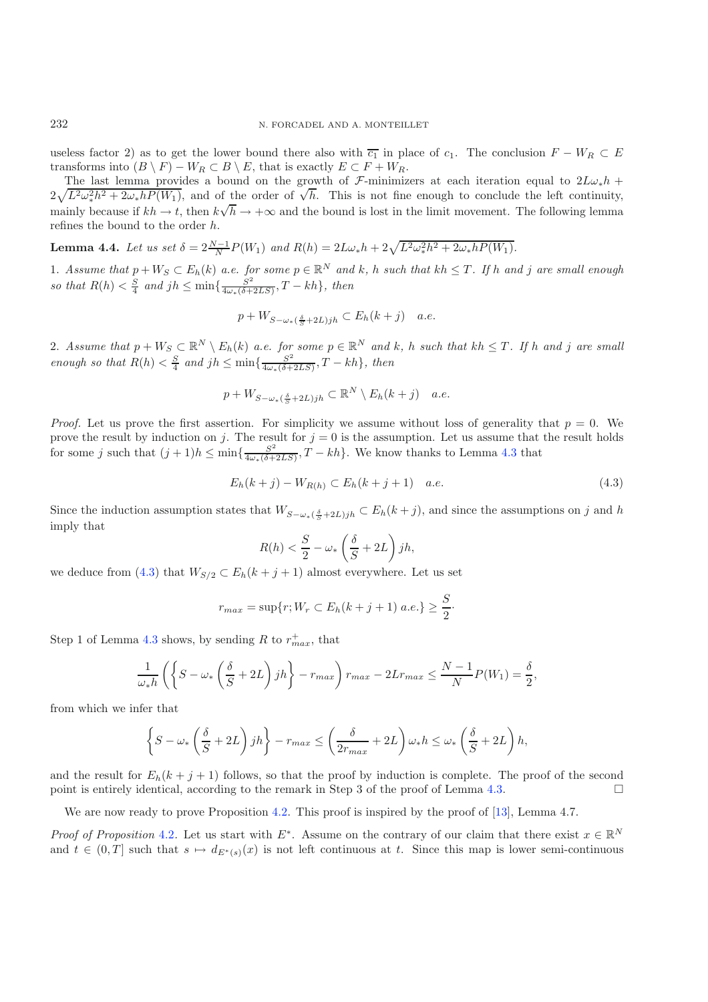useless factor 2) as to get the lower bound there also with  $\overline{c_1}$  in place of c<sub>1</sub>. The conclusion  $F - W_R \subset E$ transforms into  $(B \setminus F) - W_R \subset B \setminus E$ , that is exactly  $E \subset F + W_R$ .

The last lemma provides a bound on the growth of F-minimizers at each iteration equal to  $2L\omega_*h$  + The last lemma provides a bound on the growth or *f*-minimizers at each iteration equal to  $2L\omega_*h + 2\sqrt{L^2\omega_*^2h^2 + 2\omega_*hP(W_1)}$ , and of the order of  $\sqrt{h}$ . This is not fine enough to conclude the left continuity, mainly because if  $kh \to t$ , then  $k\sqrt{h} \to +\infty$  and the bound is lost in the limit movement. The following lemma refines the bound to the order h.

<span id="page-18-1"></span>**Lemma 4.4.** *Let us set*  $\delta = 2\frac{N-1}{N}P(W_1)$  *and*  $R(h) = 2L\omega_*h + 2\sqrt{L^2\omega_*^2h^2 + 2\omega_*hP(W_1)}$ *.* 

1. Assume that  $p + W_S \subset E_h(k)$  *a.e.* for some  $p \in \mathbb{R}^N$  and k, h such that  $kh \leq T$ . If h and j are small enough so that  $R(h) < \frac{S}{4}$  and  $jh \le \min\{\frac{S^2}{4\omega_*(\delta+2LS)}, T - kh\}$ , then

<span id="page-18-0"></span>
$$
p + W_{S - \omega_*({\delta \over S} + 2L)jh} \subset E_h(k + j) \quad a.e.
$$

2. Assume that  $p + W_S \subset \mathbb{R}^N \setminus E_h(k)$  *a.e.* for some  $p \in \mathbb{R}^N$  and k, h such that  $kh \leq T$ . If h and j are small *enough so that*  $R(h) < \frac{S}{4}$  *and*  $jh \le \min\{\frac{S^2}{4\omega*(\delta+2LS)}, T - kh\}$ *, then* 

$$
p + W_{S - \omega_*(\frac{\delta}{S} + 2L)jh} \subset \mathbb{R}^N \setminus E_h(k+j) \quad a.e.
$$

*Proof.* Let us prove the first assertion. For simplicity we assume without loss of generality that  $p = 0$ . We prove the result by induction on j. The result for  $j = 0$  is the assumption. Let us assume that the result holds for some j such that  $(j + 1)h \le \min\{\frac{S^2}{4\omega * (\delta + 2LS)}, T - kh\}$ . We know thanks to Lemma [4.3](#page-16-0) that

$$
E_h(k+j) - W_{R(h)} \subset E_h(k+j+1) \quad a.e. \tag{4.3}
$$

Since the induction assumption states that  $W_{S-\omega_*(\frac{\delta}{S}+2L)jh} \subset E_h(k+j)$ , and since the assumptions on j and h imply that

$$
R(h) < \frac{S}{2} - \omega_* \left( \frac{\delta}{S} + 2L \right) jh,
$$

we deduce from [\(4.3\)](#page-18-0) that  $W_{S/2} \subset E_h(k+j+1)$  almost everywhere. Let us set

$$
r_{max} = \sup\{r; W_r \subset E_h(k+j+1) \ a.e.\} \ge \frac{S}{2}.
$$

Step 1 of Lemma [4.3](#page-16-0) shows, by sending R to  $r_{max}^+$ , that

$$
\frac{1}{\omega_* h} \left( \left\{ S - \omega_* \left( \frac{\delta}{S} + 2L \right) jh \right\} - r_{max} \right) r_{max} - 2L r_{max} \le \frac{N-1}{N} P(W_1) = \frac{\delta}{2},
$$

from which we infer that

$$
\left\{S - \omega_*\left(\frac{\delta}{S} + 2L\right)jh\right\} - r_{max} \le \left(\frac{\delta}{2r_{max}} + 2L\right)\omega_* h \le \omega_*\left(\frac{\delta}{S} + 2L\right)h,
$$

and the result for  $E_h(k+j+1)$  follows, so that the proof by induction is complete. The proof of the second point is entirely identical, according to the remark in Step 3 of the proof of Lemma [4.3.](#page-16-0)  $\Box$ 

We are now ready to prove Proposition [4.2.](#page-16-2) This proof is inspired by the proof of [\[13](#page-30-20)], Lemma 4.7.

*Proof of Proposition* [4.2](#page-16-2). Let us start with  $E^*$ . Assume on the contrary of our claim that there exist  $x \in \mathbb{R}^N$ and  $t \in (0,T]$  such that  $s \mapsto d_{E^*(s)}(x)$  is not left continuous at t. Since this map is lower semi-continuous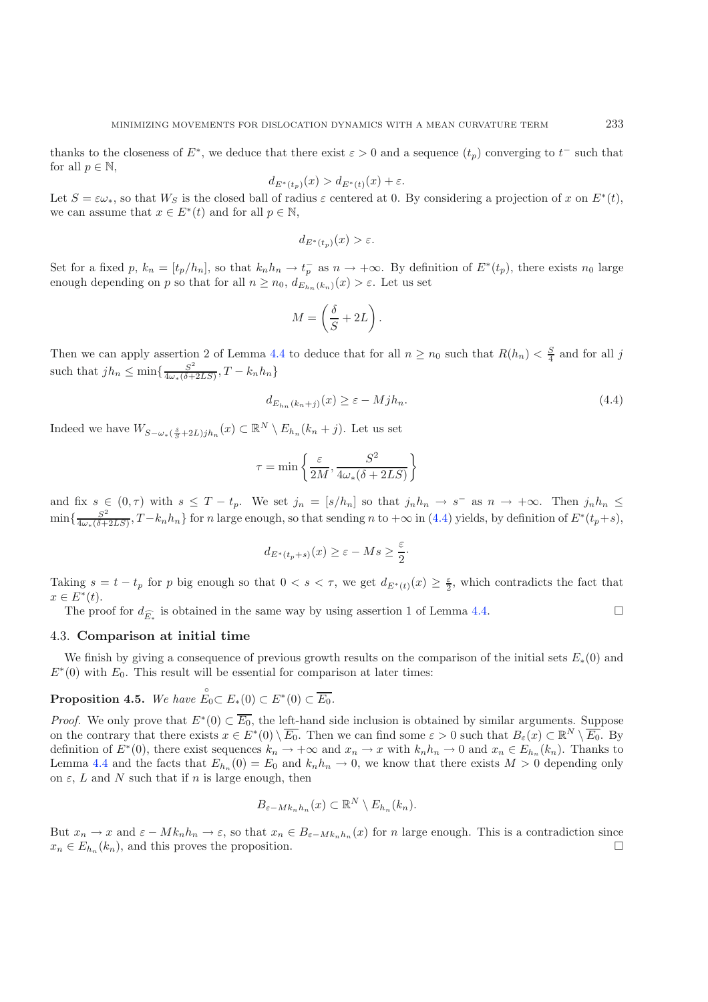thanks to the closeness of  $E^*$ , we deduce that there exist  $\varepsilon > 0$  and a sequence  $(t_p)$  converging to  $t^-$  such that for all  $p \in \mathbb{N}$ ,

<span id="page-19-0"></span>
$$
d_{E^*(t_p)}(x) > d_{E^*(t)}(x) + \varepsilon.
$$

Let  $S = \varepsilon \omega_*$ , so that  $W_S$  is the closed ball of radius  $\varepsilon$  centered at 0. By considering a projection of x on  $E^*(t)$ , we can assume that  $x \in E^*(t)$  and for all  $p \in \mathbb{N}$ ,

$$
d_{E^*(t_p)}(x) > \varepsilon.
$$

Set for a fixed p,  $k_n = [t_p/h_n]$ , so that  $k_n h_n \to t_p^-$  as  $n \to +\infty$ . By definition of  $E^*(t_p)$ , there exists  $n_0$  large enough depending on p so that for all  $n \geq n_0$ ,  $d_{E_{h_n}(k_n)}(x) > \varepsilon$ . Let us set

$$
M = \left(\frac{\delta}{S} + 2L\right).
$$

Then we can apply assertion 2 of Lemma [4.4](#page-18-1) to deduce that for all  $n \geq n_0$  such that  $R(h_n) < \frac{S}{4}$  and for all j such that  $jh_n \n\t\leq \min\{\frac{S^2}{4\omega*(\delta+2LS)}, T - k_n h_n\}$ 

$$
d_{E_{h_n}(k_n+j)}(x) \ge \varepsilon - M j h_n. \tag{4.4}
$$

Indeed we have  $W_{S-\omega_{*}(\frac{\delta}{S}+2L)jh_{n}}(x) \subset \mathbb{R}^{N} \setminus E_{h_{n}}(k_{n}+j)$ . Let us set

$$
\tau = \min\left\{\frac{\varepsilon}{2M}, \frac{S^2}{4\omega_*(\delta + 2LS)}\right\}
$$

and fix  $s \in (0, \tau)$  with  $s \leq T - t_p$ . We set  $j_n = [s/h_n]$  so that  $j_n h_n \to s^-$  as  $n \to +\infty$ . Then  $j_n h_n \leq$  $\min\{\frac{S^2}{4\omega_*(\delta+2LS)},T-k_nh_n\}$  for n large enough, so that sending n to  $+\infty$  in [\(4.4\)](#page-19-0) yields, by definition of  $E^*(t_p+s)$ ,

$$
d_{E^*(t_p+s)}(x) \ge \varepsilon - Ms \ge \frac{\varepsilon}{2}.
$$

Taking  $s = t - t_p$  for p big enough so that  $0 < s < \tau$ , we get  $d_{E^*(t)}(x) \geq \frac{\varepsilon}{2}$ , which contradicts the fact that  $x \in E^*(t)$ .

The proof for  $d_{\widehat{E}_*}$  is obtained in the same way by using assertion 1 of Lemma [4.4.](#page-18-1)

#### 4.3. **Comparison at initial time**

<span id="page-19-1"></span>We finish by giving a consequence of previous growth results on the comparison of the initial sets  $E_*(0)$  and  $E<sup>*</sup>(0)$  with  $E<sub>0</sub>$ . This result will be essential for comparison at later times:

**Proposition 4.5.** We have  $\mathring{E}_0 \subset E_*(0) \subset E^*(0) \subset \overline{E_0}$ .

*Proof.* We only prove that  $E^*(0) \subset \overline{E_0}$ , the left-hand side inclusion is obtained by similar arguments. Suppose on the contrary that there exists  $x \in E^*(0) \setminus \overline{E_0}$ . Then we can find some  $\varepsilon > 0$  such that  $B_{\varepsilon}(x) \subset \mathbb{R}^N \setminus \overline{E_0}$ . By definition of  $E^*(0)$ , there exist sequences  $k_n \to +\infty$  and  $x_n \to x$  with  $k_n h_n \to 0$  and  $x_n \in E_{h_n}(k_n)$ . Thanks to Lemma [4.4](#page-18-1) and the facts that  $E_{h_n}(0) = E_0$  and  $k_n h_n \to 0$ , we know that there exists  $M > 0$  depending only on  $\varepsilon$ , L and N such that if n is large enough, then

$$
B_{\varepsilon-Mk_n h_n}(x) \subset \mathbb{R}^N \setminus E_{h_n}(k_n).
$$

But  $x_n \to x$  and  $\varepsilon - Mk_n h_n \to \varepsilon$ , so that  $x_n \in B_{\varepsilon - Mk_n h_n}(x)$  for n large enough. This is a contradiction since  $x_n \in E_{h_n}(k_n)$ , and this proves the proposition.  $\square$ 

 $\Box$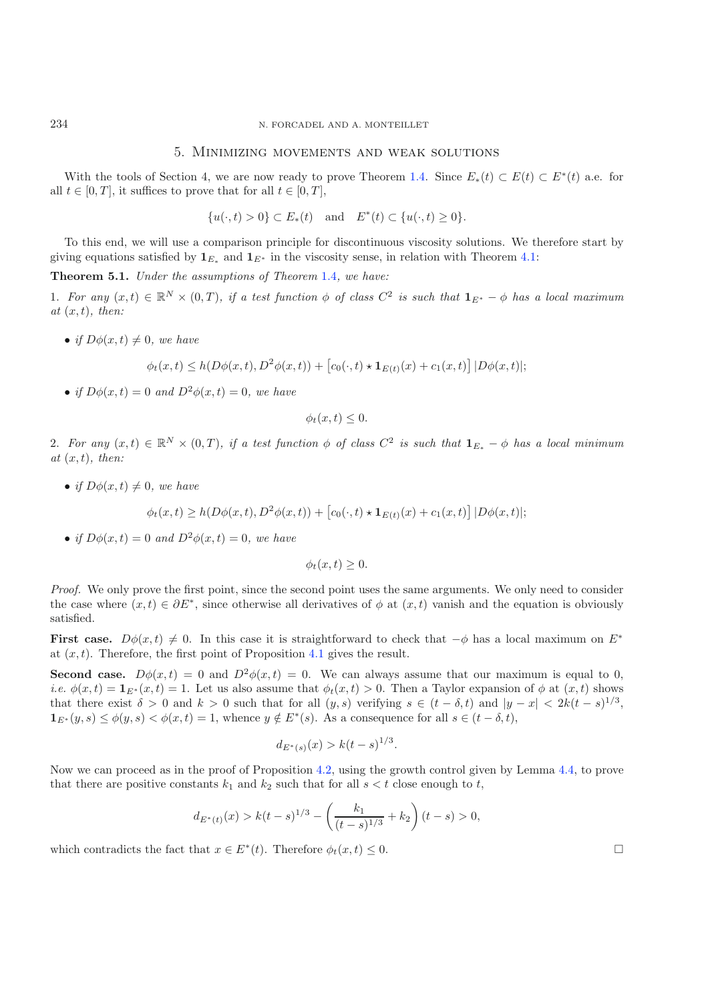#### 5. Minimizing movements and weak solutions

With the tools of Section 4, we are now ready to prove Theorem [1.4.](#page-4-4) Since  $E_*(t) \subset E(t) \subset E^*(t)$  a.e. for all  $t \in [0, T]$ , it suffices to prove that for all  $t \in [0, T]$ ,

 $\{u(\cdot,t) > 0\} \subset E_*(t)$  and  $E^*(t) \subset \{u(\cdot,t) > 0\}.$ 

<span id="page-20-0"></span>To this end, we will use a comparison principle for discontinuous viscosity solutions. We therefore start by giving equations satisfied by  $\mathbf{1}_{E^*}$  and  $\mathbf{1}_{E^*}$  in the viscosity sense, in relation with Theorem [4.1:](#page-15-0)

**Theorem 5.1.** *Under the assumptions of Theorem* [1.4](#page-4-4)*, we have:*

1. *For any*  $(x, t) \in \mathbb{R}^N \times (0, T)$ , if a test function  $\phi$  of class  $C^2$  is such that  $\mathbf{1}_{E^*} - \phi$  has a local maximum *at* (x, t)*, then:*

• *if*  $D\phi(x,t) \neq 0$ *, we have* 

$$
\phi_t(x,t) \le h(D\phi(x,t), D^2\phi(x,t)) + [c_0(\cdot,t) \star \mathbf{1}_{E(t)}(x) + c_1(x,t)] |D\phi(x,t)|;
$$

• *if*  $D\phi(x,t)=0$  *and*  $D^2\phi(x,t)=0$ *, we have* 

$$
\phi_t(x,t) \leq 0.
$$

2. For any  $(x, t) \in \mathbb{R}^N \times (0, T)$ , if a test function  $\phi$  of class  $C^2$  is such that  $\mathbf{1}_{E_*} - \phi$  has a local minimum *at* (x, t)*, then:*

• *if*  $D\phi(x,t) \neq 0$ *, we have* 

$$
\phi_t(x,t) \ge h(D\phi(x,t), D^2\phi(x,t)) + [c_0(\cdot,t) \star \mathbf{1}_{E(t)}(x) + c_1(x,t)] |D\phi(x,t)|;
$$

• *if*  $D\phi(x,t)=0$  *and*  $D^2\phi(x,t)=0$ *, we have* 

$$
\phi_t(x,t) \geq 0.
$$

*Proof.* We only prove the first point, since the second point uses the same arguments. We only need to consider the case where  $(x, t) \in \partial E^*$ , since otherwise all derivatives of  $\phi$  at  $(x, t)$  vanish and the equation is obviously satisfied.

**First case.**  $D\phi(x,t) \neq 0$ . In this case it is straightforward to check that  $-\phi$  has a local maximum on  $E^*$ at  $(x, t)$ . Therefore, the first point of Proposition [4.1](#page-15-0) gives the result.

**Second case.**  $D\phi(x,t) = 0$  and  $D^2\phi(x,t) = 0$ . We can always assume that our maximum is equal to 0, *i.e.*  $\phi(x,t) = \mathbf{1}_{E^*}(x,t) = 1$ . Let us also assume that  $\phi_t(x,t) > 0$ . Then a Taylor expansion of  $\phi$  at  $(x,t)$  shows that there exist  $\delta > 0$  and  $k > 0$  such that for all  $(y, s)$  verifying  $s \in (t - \delta, t)$  and  $|y - x| < 2k(t - s)^{1/3}$ ,  $\mathbf{1}_{E^*}(y,s) \leq \phi(y,s) < \phi(x,t) = 1$ , whence  $y \notin E^*(s)$ . As a consequence for all  $s \in (t - \delta, t)$ ,

$$
d_{E^*(s)}(x) > k(t-s)^{1/3}.
$$

Now we can proceed as in the proof of Proposition [4.2,](#page-16-2) using the growth control given by Lemma [4.4,](#page-18-1) to prove that there are positive constants  $k_1$  and  $k_2$  such that for all  $s < t$  close enough to t,

$$
d_{E^*(t)}(x) > k(t-s)^{1/3} - \left(\frac{k_1}{(t-s)^{1/3}} + k_2\right)(t-s) > 0,
$$

which contradicts the fact that  $x \in E^*(t)$ . Therefore  $\phi_t(x, t) \leq 0$ .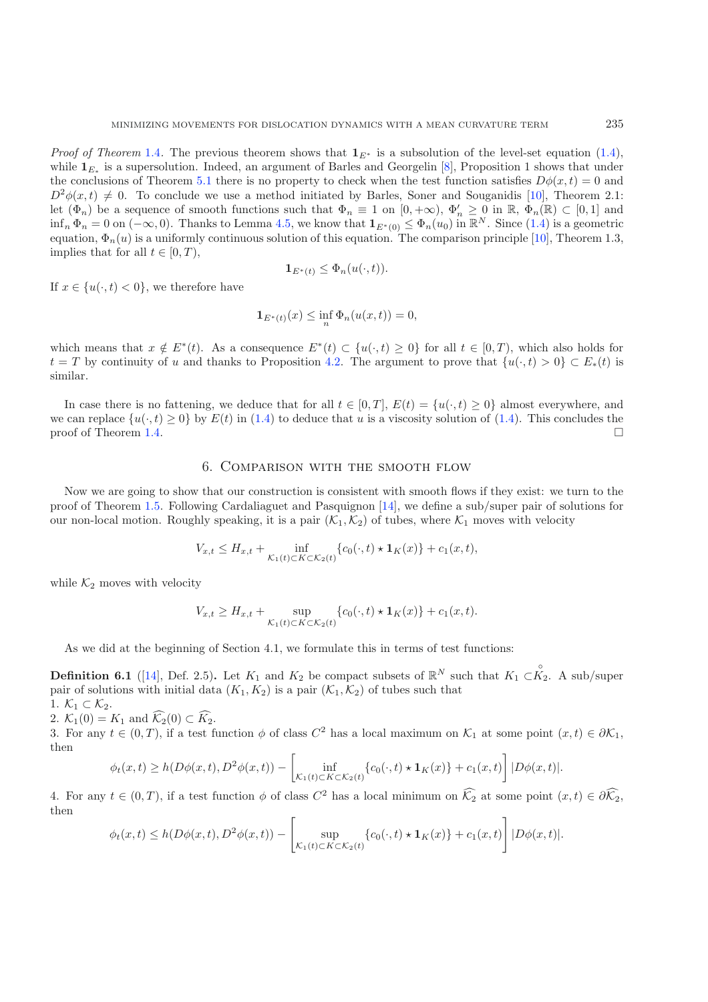*Proof of Theorem* [1.4](#page-4-4). The previous theorem shows that  $\mathbf{1}_{E^*}$  is a subsolution of the level-set equation [\(1.4\)](#page-1-3), while  $\mathbf{1}_{E_*}$  is a supersolution. Indeed, an argument of Barles and Georgelin [\[8](#page-30-21)], Proposition 1 shows that under the conclusions of Theorem [5.1](#page-20-0) there is no property to check when the test function satisfies  $D\phi(x, t) = 0$  and  $D^2\phi(x,t) \neq 0$ . To conclude we use a method initiated by Barles, Soner and Souganidis [\[10](#page-30-22)], Theorem 2.1: let  $(\Phi_n)$  be a sequence of smooth functions such that  $\Phi_n \equiv 1$  on  $[0, +\infty)$ ,  $\Phi'_n \geq 0$  in  $\mathbb{R}$ ,  $\Phi_n(\mathbb{R}) \subset [0, 1]$  and inf<sub>n</sub>  $\Phi_n = 0$  on  $(-\infty, 0)$ . Thanks to Lemma [4.5,](#page-19-1) we know that  $\mathbf{1}_{E^*(0)} \leq \Phi_n(u_0)$  in  $\mathbb{R}^N$ . Since  $(1.4)$  is a geometric equation,  $\Phi_n(u)$  is a uniformly continuous solution of this equation. The comparison principle [\[10\]](#page-30-22), Theorem 1.3, implies that for all  $t \in [0, T)$ ,

$$
\mathbf{1}_{E^*(t)} \leq \Phi_n(u(\cdot, t)).
$$

If  $x \in \{u(\cdot, t) < 0\}$ , we therefore have

$$
\mathbf{1}_{E^*(t)}(x) \le \inf_n \Phi_n(u(x,t)) = 0,
$$

which means that  $x \notin E^*(t)$ . As a consequence  $E^*(t) \subset \{u(\cdot,t) \geq 0\}$  for all  $t \in [0,T)$ , which also holds for  $t = T$  by continuity of u and thanks to Proposition [4.2.](#page-16-2) The argument to prove that  $\{u(\cdot,t) > 0\} \subset E_*(t)$  is similar.

In case there is no fattening, we deduce that for all  $t \in [0,T]$ ,  $E(t) = \{u(\cdot,t) \ge 0\}$  almost everywhere, and we can replace  $\{u(\cdot,t)\geq 0\}$  by  $E(t)$  in [\(1.4\)](#page-1-3) to deduce that u is a viscosity solution of (1.4). This concludes the proof of Theorem [1.4.](#page-4-4)  $\Box$ 

### 6. Comparison with the smooth flow

Now we are going to show that our construction is consistent with smooth flows if they exist: we turn to the proof of Theorem [1.5.](#page-4-5) Following Cardaliaguet and Pasquignon [\[14\]](#page-30-10), we define a sub/super pair of solutions for our non-local motion. Roughly speaking, it is a pair  $(\mathcal{K}_1, \mathcal{K}_2)$  of tubes, where  $\mathcal{K}_1$  moves with velocity

$$
V_{x,t} \leq H_{x,t} + \inf_{\mathcal{K}_1(t) \subset K \subset \mathcal{K}_2(t)} \{c_0(\cdot, t) \star \mathbf{1}_K(x)\} + c_1(x,t),
$$

while  $\mathcal{K}_2$  moves with velocity

$$
V_{x,t} \geq H_{x,t} + \sup_{\mathcal{K}_1(t) \subset K \subset \mathcal{K}_2(t)} \{c_0(\cdot, t) \star \mathbf{1}_K(x)\} + c_1(x,t).
$$

As we did at the beginning of Section 4.1, we formulate this in terms of test functions:

**Definition 6.1** ([\[14\]](#page-30-10), Def. 2.5). Let  $K_1$  and  $K_2$  be compact subsets of  $\mathbb{R}^N$  such that  $K_1 \subset \overset{\circ}{K}_2$ . A sub/super pair of solutions with initial data  $(K_1, K_2)$  is a pair  $(\mathcal{K}_1, \mathcal{K}_2)$  of tubes such that

1.  $\mathcal{K}_1 \subset \mathcal{K}_2$ . 2.  $K_1(0) = K_1$  and  $K_2(0) \subset K_2$ .

3. For any  $t \in (0, T)$ , if a test function  $\phi$  of class  $C^2$  has a local maximum on  $\mathcal{K}_1$  at some point  $(x, t) \in \partial \mathcal{K}_1$ , then

$$
\phi_t(x,t) \ge h(D\phi(x,t), D^2\phi(x,t)) - \left[\inf_{\mathcal{K}_1(t) \subset K \subset \mathcal{K}_2(t)} \{c_0(\cdot,t) \star \mathbf{1}_K(x)\} + c_1(x,t)\right] |D\phi(x,t)|.
$$

4. For any  $t \in (0,T)$ , if a test function  $\phi$  of class  $C^2$  has a local minimum on  $\mathcal{K}_2$  at some point  $(x,t) \in \partial \mathcal{K}_2$ , then

$$
\phi_t(x,t) \le h(D\phi(x,t), D^2\phi(x,t)) - \left[ \sup_{\mathcal{K}_1(t) \subset K \subset \mathcal{K}_2(t)} \{c_0(\cdot,t) \star \mathbf{1}_K(x)\} + c_1(x,t) \right] |D\phi(x,t)|.
$$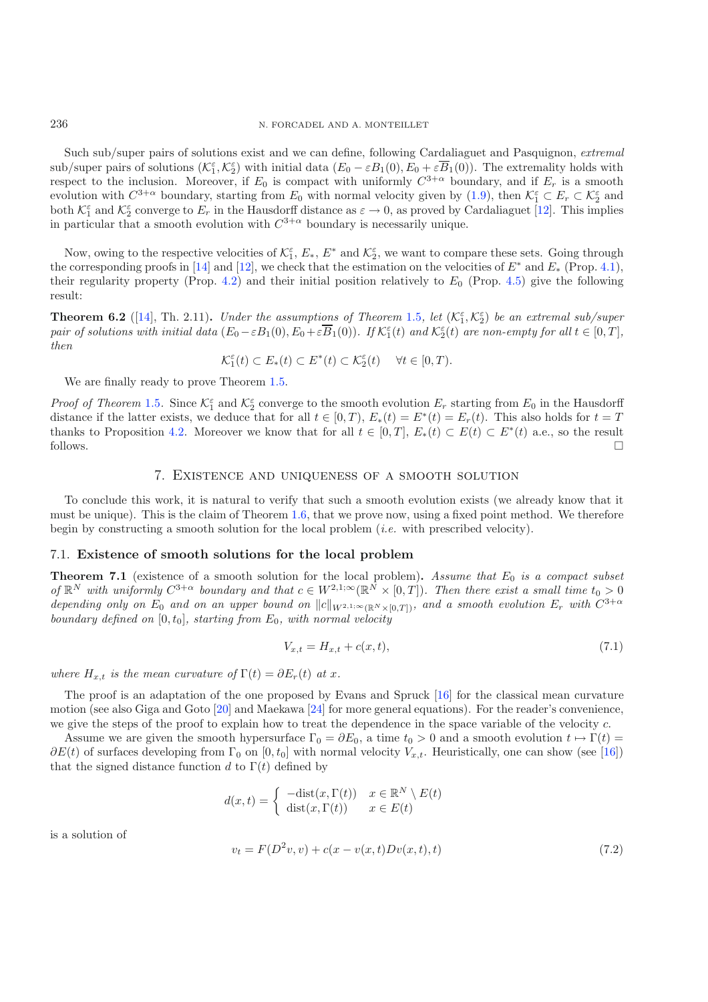Such sub/super pairs of solutions exist and we can define, following Cardaliaguet and Pasquignon, *extremal* sub/super pairs of solutions  $(\mathcal{K}_1^{\varepsilon}, \mathcal{K}_2^{\varepsilon})$  with initial data  $(E_0 - \varepsilon B_1(0), E_0 + \varepsilon \overline{B}_1(0))$ . The extremality holds with respect to the inclusion. Moreover, if  $E_0$  is compact with uniformly  $C^{3+\alpha}$  boundary, and if  $E_r$  is a smooth evolution with  $C^{3+\alpha}$  boundary, starting from  $E_0$  with normal velocity given by  $(1.9)$ , then  $\mathcal{K}_1^{\varepsilon} \subset E_r \subset \mathcal{K}_2^{\varepsilon}$  and both  $\mathcal{K}_1^{\varepsilon}$  and  $\mathcal{K}_2^{\varepsilon}$  converge to  $E_r$  in the Hausdorff distance as  $\varepsilon \to 0$ , as proved by Cardaliaguet [\[12\]](#page-30-12). This implies in particular that a smooth evolution with  $C^{3+\alpha}$  boundary is necessarily unique.

Now, owing to the respective velocities of  $\mathcal{K}_1^{\varepsilon}$ ,  $E_*$ ,  $E^*$  and  $\mathcal{K}_2^{\varepsilon}$ , we want to compare these sets. Going through the corresponding proofs in [\[14](#page-30-10)] and [\[12\]](#page-30-12), we check that the estimation on the velocities of  $E^*$  and  $E_*$  (Prop. [4.1\)](#page-15-0), their regularity property (Prop. [4.2\)](#page-16-2) and their initial position relatively to  $E_0$  (Prop. [4.5\)](#page-19-1) give the following result:

**Theorem 6.2** ([\[14](#page-30-10)], Th. 2.11). *Under the assumptions of Theorem [1.5](#page-4-5), let*  $(\mathcal{K}_1^{\varepsilon}, \mathcal{K}_2^{\varepsilon})$  *be an extremal sub/super pair of solutions with initial data*  $(E_0 - \varepsilon B_1(0), E_0 + \varepsilon \overline{B}_1(0))$ *. If*  $\mathcal{K}_1^{\varepsilon}(t)$  *and*  $\mathcal{K}_2^{\varepsilon}(t)$  *are non-empty for all*  $t \in [0, T]$ *, then*

$$
\mathcal{K}_1^{\varepsilon}(t) \subset E_*(t) \subset E^*(t) \subset \mathcal{K}_2^{\varepsilon}(t) \quad \forall t \in [0, T).
$$

We are finally ready to prove Theorem [1.5.](#page-4-5)

*Proof of Theorem* [1.5](#page-4-5). Since  $K_1^{\varepsilon}$  and  $K_2^{\varepsilon}$  converge to the smooth evolution  $E_r$  starting from  $E_0$  in the Hausdorff distance if the latter exists, we deduce that for all  $t \in [0, T)$ ,  $E_*(t) = E^*(t) = E_r(t)$ . This also holds for  $t = T$ thanks to Proposition [4.2.](#page-16-2) Moreover we know that for all  $t \in [0, T]$ ,  $E_*(t) \subset E(t) \subset E^*(t)$  a.e., so the result follows.  $\Box$  $\Box$ 

### <span id="page-22-1"></span>7. Existence and uniqueness of a smooth solution

To conclude this work, it is natural to verify that such a smooth evolution exists (we already know that it must be unique). This is the claim of Theorem [1.6,](#page-4-6) that we prove now, using a fixed point method. We therefore begin by constructing a smooth solution for the local problem (*i.e.* with prescribed velocity).

### <span id="page-22-2"></span>7.1. **Existence of smooth solutions for the local problem**

**Theorem 7.1** (existence of a smooth solution for the local problem). Assume that  $E_0$  is a compact subset *of*  $\mathbb{R}^N$  *with uniformly*  $C^{3+\alpha}$  *boundary and that*  $c \in W^{2,1;\infty}(\mathbb{R}^N \times [0,T])$ *. Then there exist a small time*  $t_0 > 0$ *depending only on*  $E_0$  *and on an upper bound on*  $||c||_{W^{2,1;\infty}(\mathbb{R}^N\times[0,T])}$ *, and a smooth evolution*  $E_r$  *with*  $C^{3+\alpha}$ *boundary defined on*  $[0, t_0]$ *, starting from*  $E_0$ *, with normal velocity* 

$$
V_{x,t} = H_{x,t} + c(x,t),
$$
\n(7.1)

<span id="page-22-0"></span>*where*  $H_{x,t}$  *is the mean curvature of*  $\Gamma(t) = \partial E_r(t)$  *at* x.

The proof is an adaptation of the one proposed by Evans and Spruck [\[16\]](#page-30-23) for the classical mean curvature motion (see also Giga and Goto [\[20\]](#page-30-24) and Maekawa [\[24\]](#page-30-25) for more general equations). For the reader's convenience, we give the steps of the proof to explain how to treat the dependence in the space variable of the velocity c.

Assume we are given the smooth hypersurface  $\Gamma_0 = \partial E_0$ , a time  $t_0 > 0$  and a smooth evolution  $t \mapsto \Gamma(t) =$  $\partial E(t)$  of surfaces developing from  $\Gamma_0$  on  $[0, t_0]$  with normal velocity  $V_{x,t}$ . Heuristically, one can show (see [\[16](#page-30-23)]) that the signed distance function d to  $\Gamma(t)$  defined by

$$
d(x,t) = \begin{cases} -\text{dist}(x,\Gamma(t)) & x \in \mathbb{R}^N \setminus E(t) \\ \text{dist}(x,\Gamma(t)) & x \in E(t) \end{cases}
$$

is a solution of

$$
v_t = F(D^2v, v) + c(x - v(x, t)Dv(x, t), t)
$$
\n(7.2)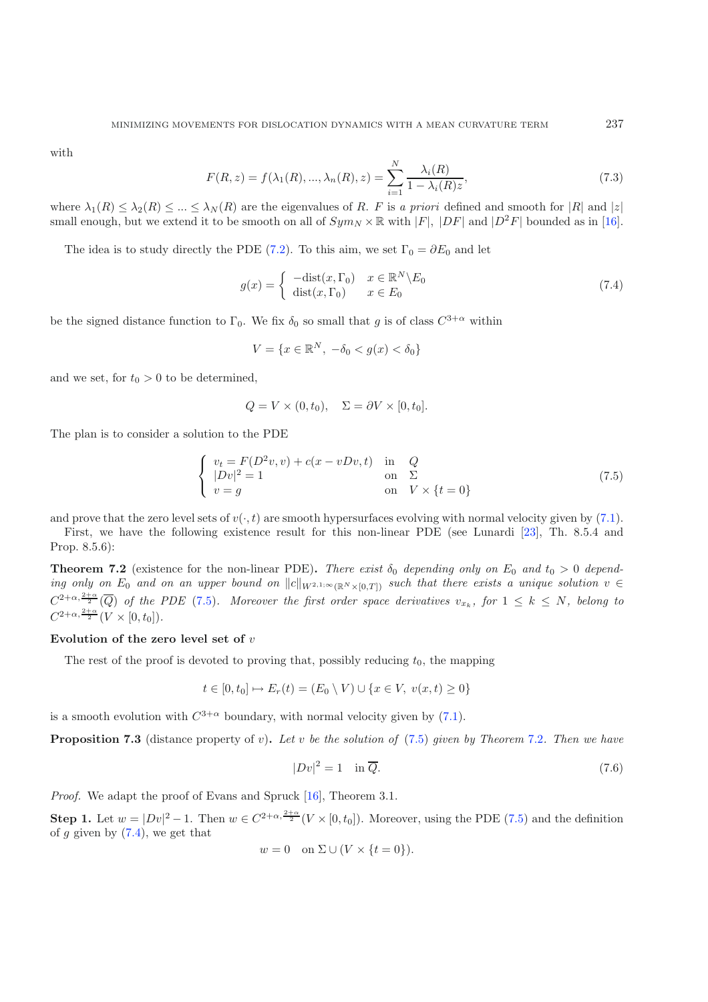with

<span id="page-23-2"></span>
$$
F(R, z) = f(\lambda_1(R), ..., \lambda_n(R), z) = \sum_{i=1}^{N} \frac{\lambda_i(R)}{1 - \lambda_i(R)z},
$$
\n(7.3)

where  $\lambda_1(R) \leq \lambda_2(R) \leq ... \leq \lambda_N(R)$  are the eigenvalues of R. F is a priori defined and smooth for  $|R|$  and  $|z|$ small enough, but we extend it to be smooth on all of  $Sym_N \times \mathbb{R}$  with  $|F|$ ,  $|DF|$  and  $|D^2F|$  bounded as in [\[16\]](#page-30-23).

The idea is to study directly the PDE [\(7.2\)](#page-22-0). To this aim, we set  $\Gamma_0 = \partial E_0$  and let

$$
g(x) = \begin{cases} -\text{dist}(x, \Gamma_0) & x \in \mathbb{R}^N \backslash E_0 \\ \text{dist}(x, \Gamma_0) & x \in E_0 \end{cases}
$$
\n(7.4)

<span id="page-23-0"></span>be the signed distance function to  $\Gamma_0$ . We fix  $\delta_0$  so small that g is of class  $C^{3+\alpha}$  within

$$
V = \{x \in \mathbb{R}^N, \ -\delta_0 < g(x) < \delta_0\}
$$

and we set, for  $t_0 > 0$  to be determined,

$$
Q = V \times (0, t_0), \quad \Sigma = \partial V \times [0, t_0].
$$

The plan is to consider a solution to the PDE

$$
\begin{cases}\nv_t = F(D^2v, v) + c(x - vDv, t) & \text{in} \quad Q \\
|Dv|^2 = 1 & \text{on} \quad \Sigma \\
v = g & \text{on} \quad V \times \{t = 0\}\n\end{cases}
$$
\n(7.5)

and prove that the zero level sets of  $v(\cdot, t)$  are smooth hypersurfaces evolving with normal velocity given by [\(7.1\)](#page-22-1).

<span id="page-23-1"></span>First, we have the following existence result for this non-linear PDE (see Lunardi [\[23](#page-30-26)], Th. 8.5.4 and Prop. 8.5.6):

**Theorem 7.2** (existence for the non-linear PDE). There exist  $\delta_0$  depending only on  $E_0$  and  $t_0 > 0$  depend*ing only on*  $E_0$  *and on an upper bound on*  $||c||_{W^{2,1;\infty}(\mathbb{R}^N \times [0,T])}$  *such that there exists a unique solution*  $v \in$  $C^{2+\alpha,\frac{2+\alpha}{2}}(\overline{Q})$  of the PDE [\(7.5\)](#page-23-0). Moreover the first order space derivatives  $v_{x_k}$ , for  $1 \leq k \leq N$ , belong to  $C^{2+\alpha, \frac{2+\alpha}{2}}(V \times [0, t_0]).$ 

#### **Evolution of the zero level set of** v

The rest of the proof is devoted to proving that, possibly reducing  $t_0$ , the mapping

<span id="page-23-3"></span>
$$
t \in [0, t_0] \mapsto E_r(t) = (E_0 \setminus V) \cup \{x \in V, \ v(x, t) \ge 0\}
$$

is a smooth evolution with  $C^{3+\alpha}$  boundary, with normal velocity given by [\(7.1\)](#page-22-1).

**Proposition 7.3** (distance property of v)**.** *Let* v *be the solution of* [\(7.5\)](#page-23-0) *given by Theorem* [7.2](#page-23-1)*. Then we have*

$$
|Dv|^2 = 1 \quad \text{in } \overline{Q}. \tag{7.6}
$$

*Proof.* We adapt the proof of Evans and Spruck [\[16\]](#page-30-23), Theorem 3.1.

**Step 1.** Let  $w = |Dv|^2 - 1$ . Then  $w \in C^{2+\alpha, \frac{2+\alpha}{2}}(V \times [0, t_0])$ . Moreover, using the PDE [\(7.5\)](#page-23-0) and the definition of g given by  $(7.4)$ , we get that

$$
w = 0 \quad \text{on } \Sigma \cup (V \times \{t = 0\}).
$$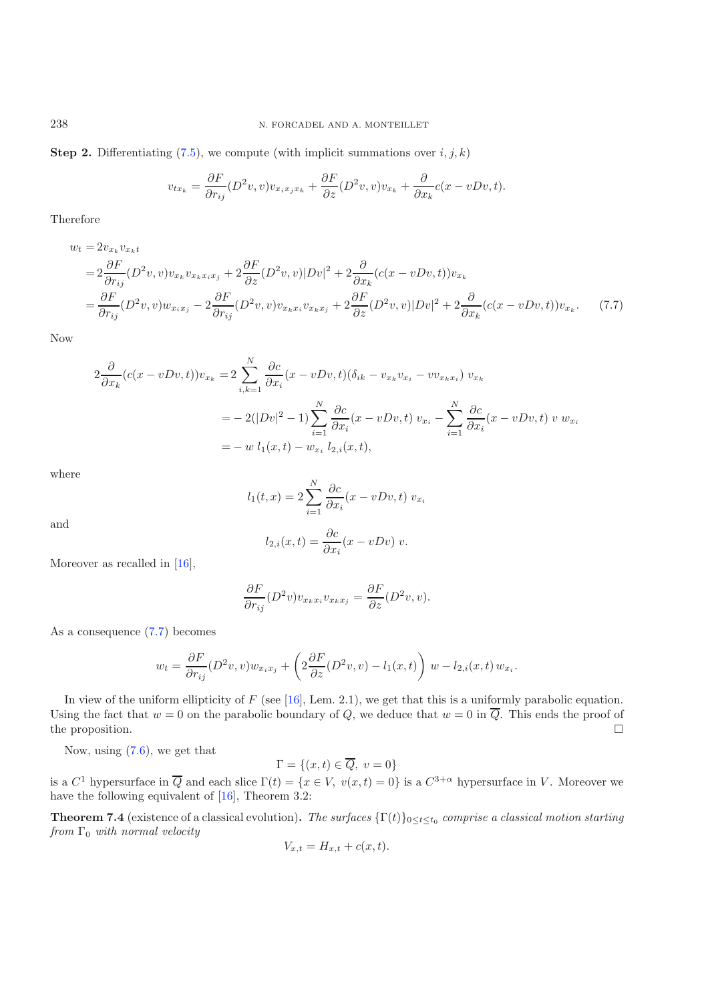**Step 2.** Differentiating  $(7.5)$ , we compute (with implicit summations over  $i, j, k$ )

<span id="page-24-0"></span>
$$
v_{tx_k} = \frac{\partial F}{\partial r_{ij}} (D^2 v, v) v_{x_i x_j x_k} + \frac{\partial F}{\partial z} (D^2 v, v) v_{x_k} + \frac{\partial}{\partial x_k} c(x - v D v, t).
$$

Therefore

$$
w_t = 2v_{x_k}v_{x_kt}
$$
  
=  $2\frac{\partial F}{\partial r_{ij}}(D^2v, v)v_{x_k}v_{x_kx_ix_j} + 2\frac{\partial F}{\partial z}(D^2v, v)|Dv|^2 + 2\frac{\partial}{\partial x_k}(c(x - vDv, t))v_{x_k}$   
=  $\frac{\partial F}{\partial r_{ij}}(D^2v, v)w_{x_ix_j} - 2\frac{\partial F}{\partial r_{ij}}(D^2v, v)v_{x_kx_ix_j} + 2\frac{\partial F}{\partial z}(D^2v, v)|Dv|^2 + 2\frac{\partial}{\partial x_k}(c(x - vDv, t))v_{x_k}.$  (7.7)

Now

$$
2\frac{\partial}{\partial x_k}(c(x-vDv,t))v_{x_k} = 2\sum_{i,k=1}^N \frac{\partial c}{\partial x_i}(x-vDv,t)(\delta_{ik} - v_{x_k}v_{x_i} - vv_{x_k}v_i) v_{x_k}
$$
  
= 
$$
-2(|Dv|^2 - 1)\sum_{i=1}^N \frac{\partial c}{\partial x_i}(x-vDv,t) v_{x_i} - \sum_{i=1}^N \frac{\partial c}{\partial x_i}(x-vDv,t) v_{x_i}
$$
  
= 
$$
-w l_1(x,t) - w_{x_i} l_{2,i}(x,t),
$$

where

$$
l_1(t,x) = 2\sum_{i=1}^{N} \frac{\partial c}{\partial x_i}(x - vDv, t) v_{x_i}
$$

and

$$
l_{2,i}(x,t) = \frac{\partial c}{\partial x_i}(x - vDv) v.
$$

Moreover as recalled in [\[16\]](#page-30-23),

$$
\frac{\partial F}{\partial r_{ij}}(D^2 v)v_{x_k x_i} v_{x_k x_j} = \frac{\partial F}{\partial z}(D^2 v, v).
$$

As a consequence [\(7.7\)](#page-24-0) becomes

$$
w_t = \frac{\partial F}{\partial r_{ij}} (D^2 v, v) w_{x_i x_j} + \left( 2 \frac{\partial F}{\partial z} (D^2 v, v) - l_1(x, t) \right) w - l_{2,i}(x, t) w_{x_i}.
$$

In view of the uniform ellipticity of  $F$  (see [\[16\]](#page-30-23), Lem. 2.1), we get that this is a uniformly parabolic equation. Using the fact that  $w = 0$  on the parabolic boundary of Q, we deduce that  $w = 0$  in  $\overline{Q}$ . This ends the proof of the proposition.  $\Box$ 

Now, using [\(7.6\)](#page-23-3), we get that

 $\Gamma = \{(x, t) \in \overline{Q}, v = 0\}$ 

is a  $C^1$  hypersurface in  $\overline{Q}$  and each slice  $\Gamma(t) = \{x \in V, v(x,t) = 0\}$  is a  $C^{3+\alpha}$  hypersurface in V. Moreover we have the following equivalent of [\[16\]](#page-30-23), Theorem 3.2:

<span id="page-24-1"></span>**Theorem 7.4** (existence of a classical evolution). The surfaces  $\{\Gamma(t)\}_{0 \leq t \leq t_0}$  comprise a classical motion starting *from* Γ<sub>0</sub> *with normal velocity* 

$$
V_{x,t} = H_{x,t} + c(x,t).
$$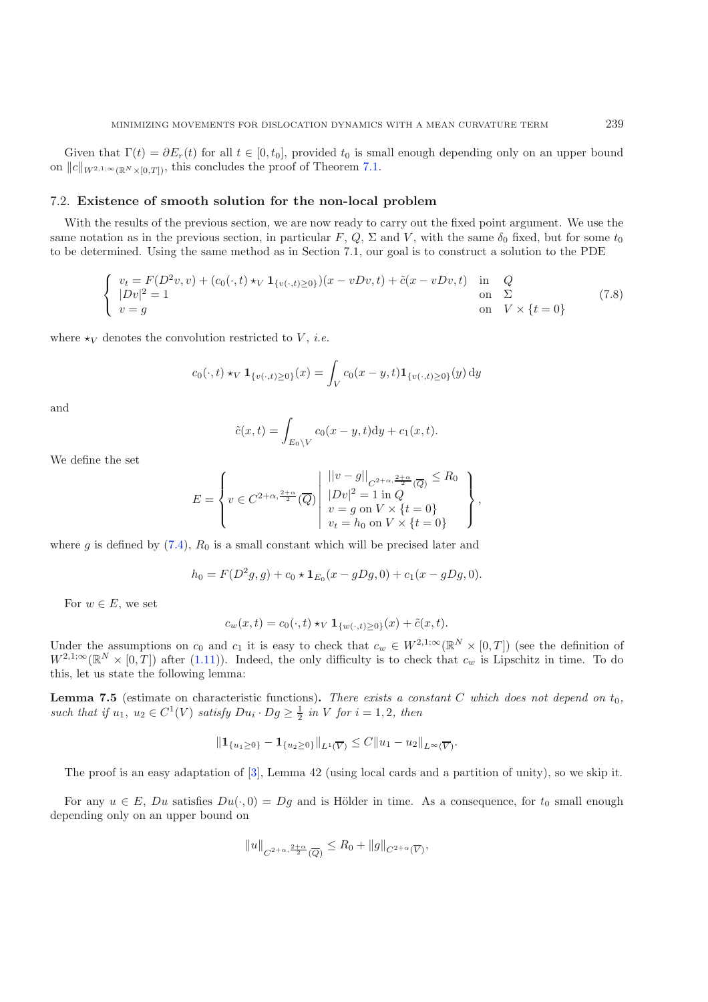### <span id="page-25-0"></span>7.2. **Existence of smooth solution for the non-local problem**

With the results of the previous section, we are now ready to carry out the fixed point argument. We use the same notation as in the previous section, in particular F, Q,  $\Sigma$  and V, with the same  $\delta_0$  fixed, but for some  $t_0$ to be determined. Using the same method as in Section 7.1, our goal is to construct a solution to the PDE

$$
\begin{cases}\nv_t = F(D^2v, v) + (c_0(\cdot, t) \star_V \mathbf{1}_{\{v(\cdot, t) \ge 0\}})(x - vDv, t) + \tilde{c}(x - vDv, t) & \text{in} \quad Q \\
|Dv|^2 = 1 & \text{on} \quad \Sigma \\
v = g & \text{on} \quad V \times \{t = 0\}\n\end{cases}
$$
\n(7.8)

where  $\star_V$  denotes the convolution restricted to V, *i.e.* 

$$
c_0(\cdot, t) \star_V \mathbf{1}_{\{v(\cdot, t) \ge 0\}}(x) = \int_V c_0(x - y, t) \mathbf{1}_{\{v(\cdot, t) \ge 0\}}(y) \, dy
$$

and

$$
\tilde{c}(x,t) = \int_{E_0 \setminus V} c_0(x-y,t) dy + c_1(x,t).
$$

We define the set

$$
E = \left\{ v \in C^{2+\alpha, \frac{2+\alpha}{2}}(\overline{Q}) \middle| \begin{array}{l} ||v-g||_{C^{2+\alpha, \frac{2+\alpha}{2}}(\overline{Q})} \leq R_0 \\ |Dv|^2 = 1 \text{ in } Q \\ v = g \text{ on } V \times \{t = 0\} \\ v_t = h_0 \text{ on } V \times \{t = 0\} \end{array} \right\},
$$

where g is defined by  $(7.4)$ ,  $R_0$  is a small constant which will be precised later and

$$
h_0 = F(D^2g, g) + c_0 \star \mathbf{1}_{E_0}(x - gDg, 0) + c_1(x - gDg, 0).
$$

For  $w \in E$ , we set

$$
c_w(x,t) = c_0(\cdot,t) \star_V \mathbf{1}_{\{w(\cdot,t) \ge 0\}}(x) + \tilde{c}(x,t).
$$

Under the assumptions on  $c_0$  and  $c_1$  it is easy to check that  $c_w \in W^{2,1;\infty}(\mathbb{R}^N \times [0,T])$  (see the definition of  $W^{2,1;\infty}(\mathbb{R}^N\times[0,T])$  after [\(1.11\)](#page-4-1)). Indeed, the only difficulty is to check that  $c_w$  is Lipschitz in time. To do this, let us state the following lemma:

<span id="page-25-1"></span>**Lemma 7.5** (estimate on characteristic functions). There exists a constant C which does not depend on  $t_0$ , such that if  $u_1, u_2 \in C^1(V)$  satisfy  $Du_i \cdot Dg \geq \frac{1}{2}$  in V for  $i = 1, 2$ , then

$$
||\mathbf{1}_{\{u_1\geq 0\}} - \mathbf{1}_{\{u_2\geq 0\}}||_{L^1(\overline{V})} \leq C||u_1 - u_2||_{L^{\infty}(\overline{V})}.
$$

The proof is an easy adaptation of [\[3\]](#page-30-27), Lemma 42 (using local cards and a partition of unity), so we skip it.

For any  $u \in E$ , Du satisfies  $Du(\cdot, 0) = Dg$  and is Hölder in time. As a consequence, for  $t_0$  small enough depending only on an upper bound on

$$
||u||_{C^{2+\alpha,\frac{2+\alpha}{2}}(\overline{Q})} \leq R_0 + ||g||_{C^{2+\alpha}(\overline{V})},
$$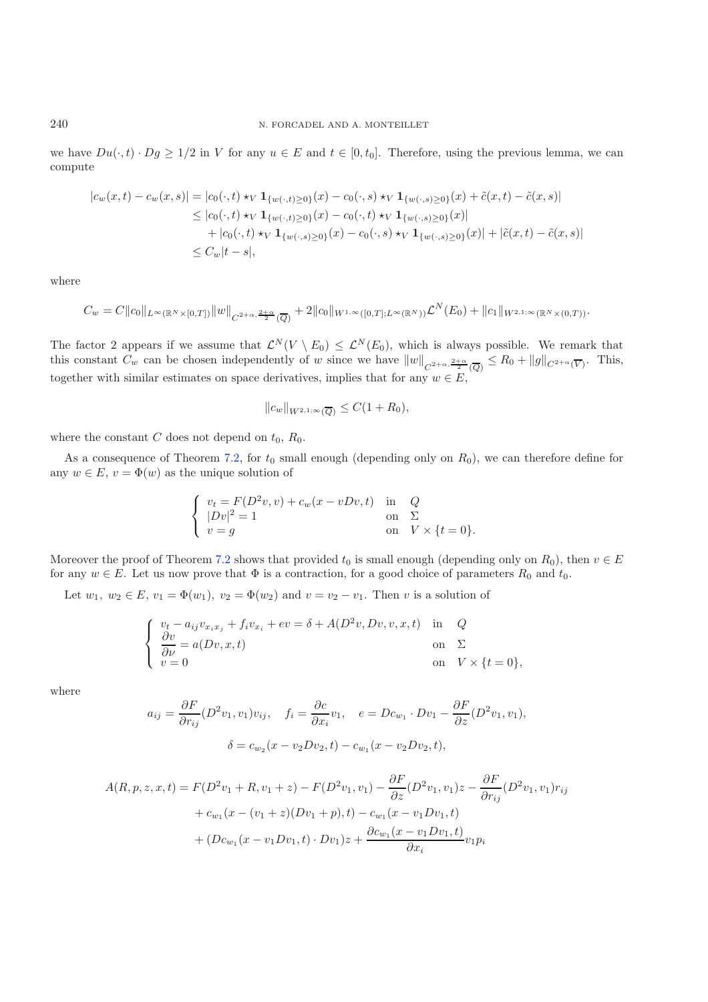we have  $Du(\cdot,t) \cdot Dg \geq 1/2$  in V for any  $u \in E$  and  $t \in [0,t_0]$ . Therefore, using the previous lemma, we can compute

$$
|c_w(x,t) - c_w(x,s)| = |c_0(\cdot,t) \star_V \mathbf{1}_{\{w(\cdot,t) \ge 0\}}(x) - c_0(\cdot,s) \star_V \mathbf{1}_{\{w(\cdot,s) \ge 0\}}(x) + \tilde{c}(x,t) - \tilde{c}(x,s)|
$$
  
\n
$$
\le |c_0(\cdot,t) \star_V \mathbf{1}_{\{w(\cdot,t) \ge 0\}}(x) - c_0(\cdot,t) \star_V \mathbf{1}_{\{w(\cdot,s) \ge 0\}}(x)|
$$
  
\n
$$
+ |c_0(\cdot,t) \star_V \mathbf{1}_{\{w(\cdot,s) \ge 0\}}(x) - c_0(\cdot,s) \star_V \mathbf{1}_{\{w(\cdot,s) \ge 0\}}(x)| + |\tilde{c}(x,t) - \tilde{c}(x,s)|
$$
  
\n
$$
\le C_w|t-s|,
$$

where

$$
C_w = C||c_0||_{L^{\infty}(\mathbb{R}^N \times [0,T])} ||w||_{C^{2+\alpha,\frac{2+\alpha}{2}}(\overline{Q})} + 2||c_0||_{W^{1,\infty}([0,T];L^{\infty}(\mathbb{R}^N))} \mathcal{L}^N(E_0) + ||c_1||_{W^{2,1;\infty}(\mathbb{R}^N \times (0,T))}.
$$

The factor 2 appears if we assume that  $\mathcal{L}^N(V \setminus E_0) \leq \mathcal{L}^N(E_0)$ , which is always possible. We remark that this constant  $C_w$  can be chosen independently of w since we have  $||w||_{C^{2+\alpha,\frac{2+\alpha}{2}}(\overline{Q})} \leq R_0 + ||g||_{C^{2+\alpha}(\overline{V})}$ . This, together with similar estimates on space derivatives, implies that for any  $w \in E$ ,

$$
||c_w||_{W^{2,1;\infty}(\overline{Q})} \leq C(1+R_0),
$$

where the constant C does not depend on  $t_0$ ,  $R_0$ .

As a consequence of Theorem [7.2,](#page-23-1) for  $t_0$  small enough (depending only on  $R_0$ ), we can therefore define for any  $w \in E$ ,  $v = \Phi(w)$  as the unique solution of

$$
\begin{cases}\nv_t = F(D^2v, v) + c_w(x - vDv, t) & \text{in} \quad Q \\
|Dv|^2 = 1 & \text{on} \quad \Sigma \\
v = g & \text{on} \quad V \times \{t = 0\}.\n\end{cases}
$$

Moreover the proof of Theorem [7.2](#page-23-1) shows that provided  $t_0$  is small enough (depending only on  $R_0$ ), then  $v \in E$ for any  $w \in E$ . Let us now prove that  $\Phi$  is a contraction, for a good choice of parameters  $R_0$  and  $t_0$ .

Let  $w_1, w_2 \in E$ ,  $v_1 = \Phi(w_1), v_2 = \Phi(w_2)$  and  $v = v_2 - v_1$ . Then v is a solution of

$$
\begin{cases}\n v_t - a_{ij}v_{x_ix_j} + f_iv_{x_i} + ev = \delta + A(D^2v, Dv, v, x, t) & \text{in} \quad Q \\
 \frac{\partial v}{\partial \nu} = a(Dv, x, t) & \text{on} \quad \Sigma \\
 v = 0 & \text{on} \quad V \times \{t = 0\},\n\end{cases}
$$

where

$$
a_{ij} = \frac{\partial F}{\partial r_{ij}} (D^2 v_1, v_1) v_{ij}, \quad f_i = \frac{\partial c}{\partial x_i} v_1, \quad e = D c_{w_1} \cdot D v_1 - \frac{\partial F}{\partial z} (D^2 v_1, v_1),
$$

$$
\delta = c_{w_2} (x - v_2 D v_2, t) - c_{w_1} (x - v_2 D v_2, t),
$$

$$
A(R, p, z, x, t) = F(D2v1 + R, v1 + z) - F(D2v1, v1) - \frac{\partial F}{\partial z}(D2v1, v1)z - \frac{\partial F}{\partial r_{ij}}(D2v1, v1)rij
$$
  
+  $c_{w1$ (x - (v<sub>1</sub> + z)(Dv<sub>1</sub> + p), t) - c\_{w<sub>1</sub>(x - v<sub>1</sub>Dv<sub>1</sub>, t)  
+  $(Dc_{w1$ (x - v<sub>1</sub>Dv<sub>1</sub>, t) \cdot Dv<sub>1</sub>)z + \frac{\partial c\_{w<sub>1</sub>(x - v<sub>1</sub>Dv<sub>1</sub>, t)}{\partial x<sub>i</sub>} v<sub>1</sub>p<sub>i</sub>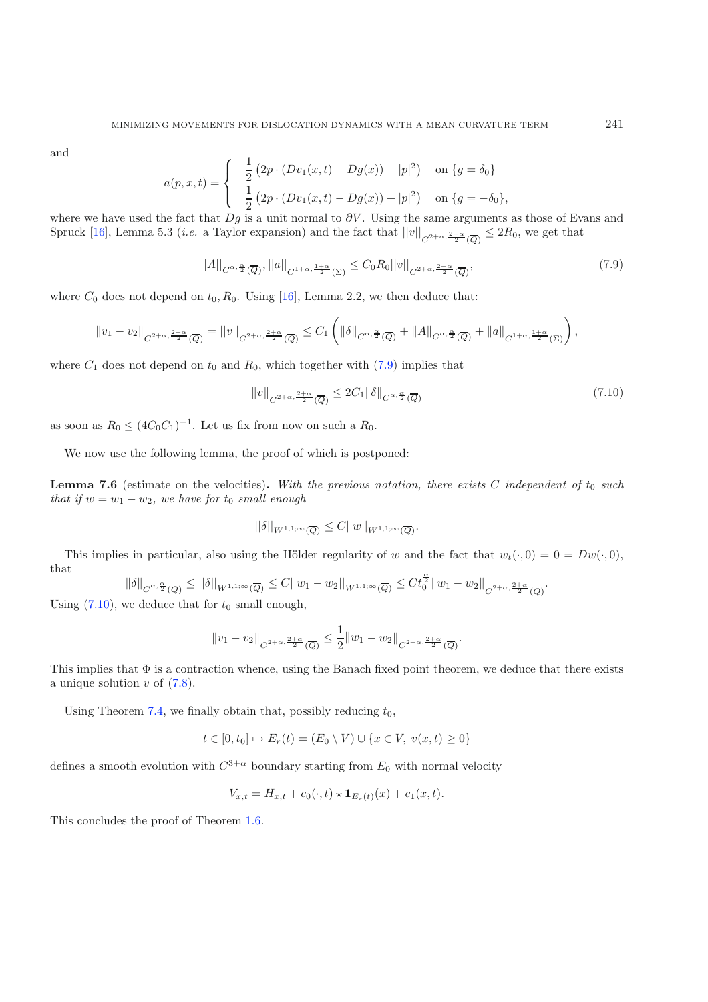and

<span id="page-27-1"></span><span id="page-27-0"></span>
$$
a(p, x, t) = \begin{cases} -\frac{1}{2} (2p \cdot (Dv_1(x, t) - Dg(x)) + |p|^2) & \text{on } \{g = \delta_0\} \\ \frac{1}{2} (2p \cdot (Dv_1(x, t) - Dg(x)) + |p|^2) & \text{on } \{g = -\delta_0\}, \end{cases}
$$

where we have used the fact that  $Dg$  is a unit normal to  $\partial V$ . Using the same arguments as those of Evans and Spruck [\[16](#page-30-23)], Lemma 5.3 (*i.e.* a Taylor expansion) and the fact that  $||v||_{C^{2+\alpha, \frac{2+\alpha}{2}}(\overline{Q})} \leq 2R_0$ , we get that

$$
||A||_{C^{\alpha,\frac{\alpha}{2}}(\overline{Q})}, ||a||_{C^{1+\alpha,\frac{1+\alpha}{2}}(\Sigma)} \leq C_0 R_0 ||v||_{C^{2+\alpha,\frac{2+\alpha}{2}}(\overline{Q})},\tag{7.9}
$$

where  $C_0$  does not depend on  $t_0$ ,  $R_0$ . Using [\[16\]](#page-30-23), Lemma 2.2, we then deduce that:

$$
||v_1 - v_2||_{C^{2+\alpha, \frac{2+\alpha}{2}}(\overline{Q})} = ||v||_{C^{2+\alpha, \frac{2+\alpha}{2}}(\overline{Q})} \leq C_1 \left(||\delta||_{C^{\alpha, \frac{\alpha}{2}}(\overline{Q})} + ||A||_{C^{\alpha, \frac{\alpha}{2}}(\overline{Q})} + ||a||_{C^{1+\alpha, \frac{1+\alpha}{2}}(\Sigma)}\right),
$$

where  $C_1$  does not depend on  $t_0$  and  $R_0$ , which together with [\(7.9\)](#page-27-0) implies that

$$
||v||_{C^{2+\alpha,\frac{2+\alpha}{2}}(\overline{Q})} \leq 2C_1 ||\delta||_{C^{\alpha,\frac{\alpha}{2}}(\overline{Q})}
$$
\n
$$
(7.10)
$$

as soon as  $R_0 \leq (4C_0C_1)^{-1}$ . Let us fix from now on such a  $R_0$ .

We now use the following lemma, the proof of which is postponed:

<span id="page-27-2"></span>**Lemma 7.6** (estimate on the velocities). With the previous notation, there exists C independent of  $t_0$  such *that if*  $w = w_1 - w_2$ *, we have for*  $t_0$  *small enough* 

$$
||\delta||_{W^{1,1;\infty}(\overline{Q})} \leq C||w||_{W^{1,1;\infty}(\overline{Q})}.
$$

This implies in particular, also using the Hölder regularity of w and the fact that  $w_t(\cdot, 0) = 0 = Dw(\cdot, 0)$ , that

$$
\|\delta\|_{C^{\alpha,\frac{\alpha}{2}}(\overline{Q})}\leq ||\delta||_{W^{1,1;\infty}(\overline{Q})}\leq C||w_1-w_2||_{W^{1,1;\infty}(\overline{Q})}\leq Ct_0^{\frac{\alpha}{2}}\|w_1-w_2\|_{C^{2+\alpha,\frac{2+\alpha}{2}}(\overline{Q})}.
$$

Using  $(7.10)$ , we deduce that for  $t_0$  small enough,

$$
||v_1-v_2||_{C^{2+\alpha,\frac{2+\alpha}{2}}(\overline{Q})}\leq \frac{1}{2}||w_1-w_2||_{C^{2+\alpha,\frac{2+\alpha}{2}}(\overline{Q})}.
$$

This implies that  $\Phi$  is a contraction whence, using the Banach fixed point theorem, we deduce that there exists a unique solution  $v$  of  $(7.8)$ .

Using Theorem [7.4,](#page-24-1) we finally obtain that, possibly reducing  $t_0$ ,

$$
t \in [0, t_0] \mapsto E_r(t) = (E_0 \setminus V) \cup \{x \in V, \ v(x, t) \ge 0\}
$$

defines a smooth evolution with  $C^{3+\alpha}$  boundary starting from  $E_0$  with normal velocity

$$
V_{x,t} = H_{x,t} + c_0(\cdot, t) \star \mathbf{1}_{E_r(t)}(x) + c_1(x,t).
$$

This concludes the proof of Theorem [1.6.](#page-4-6)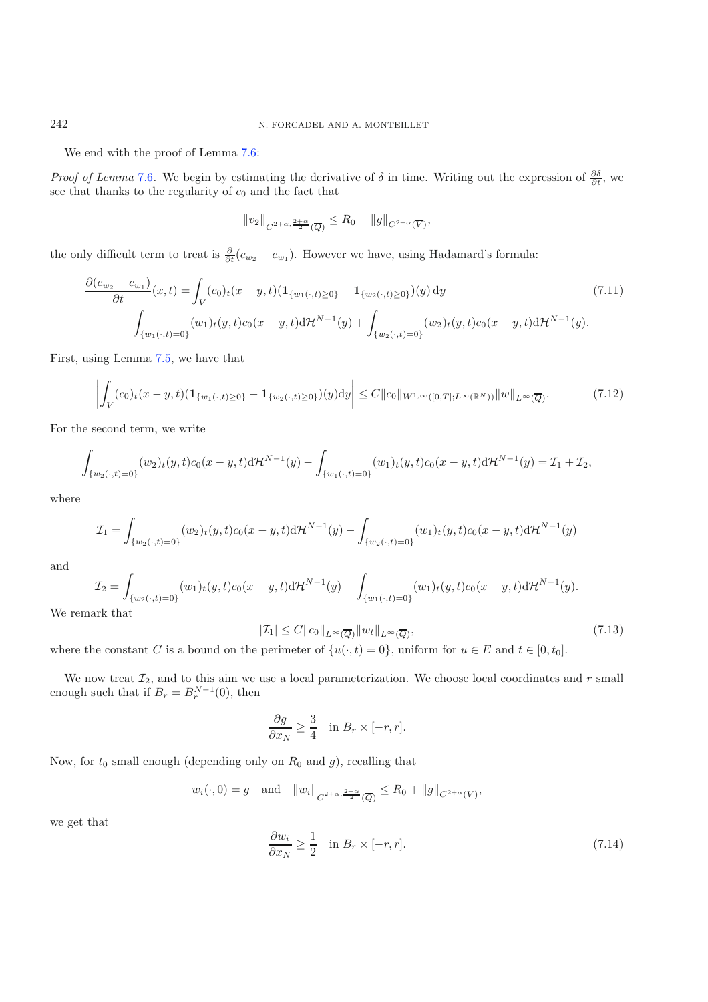We end with the proof of Lemma [7.6:](#page-27-2)

<span id="page-28-1"></span>*Proof of Lemma* [7.6](#page-27-2). We begin by estimating the derivative of  $\delta$  in time. Writing out the expression of  $\frac{\partial \delta}{\partial t}$ , we see that thanks to the regularity of  $c_0$  and the fact that

$$
||v_2||_{C^{2+\alpha,\frac{2+\alpha}{2}}(\overline{Q})} \leq R_0 + ||g||_{C^{2+\alpha}(\overline{V})},
$$

the only difficult term to treat is  $\frac{\partial}{\partial t}(c_{w_2}-c_{w_1})$ . However we have, using Hadamard's formula:

$$
\frac{\partial (c_{w_2} - c_{w_1})}{\partial t}(x, t) = \int_V (c_0)_t (x - y, t) (\mathbf{1}_{\{w_1(\cdot, t) \ge 0\}} - \mathbf{1}_{\{w_2(\cdot, t) \ge 0\}})(y) dy \tag{7.11}
$$
\n
$$
- \int_{\{w_1(\cdot, t) = 0\}} (w_1)_t (y, t) c_0 (x - y, t) d\mathcal{H}^{N-1}(y) + \int_{\{w_2(\cdot, t) = 0\}} (w_2)_t (y, t) c_0 (x - y, t) d\mathcal{H}^{N-1}(y).
$$

First, using Lemma [7.5,](#page-25-1) we have that

$$
\left| \int_{V} (c_0)_t (x - y, t) (\mathbf{1}_{\{w_1(\cdot, t) \ge 0\}} - \mathbf{1}_{\{w_2(\cdot, t) \ge 0\}})(y) dy \right| \le C \|c_0\|_{W^{1,\infty}([0, T]; L^\infty(\mathbb{R}^N))} \|w\|_{L^\infty(\overline{Q})}.
$$
\n(7.12)

For the second term, we write

<span id="page-28-2"></span>
$$
\int_{\{w_2(\cdot,t)=0\}} (w_2)_t(y,t)c_0(x-y,t) \mathrm{d} \mathcal{H}^{N-1}(y) - \int_{\{w_1(\cdot,t)=0\}} (w_1)_t(y,t)c_0(x-y,t) \mathrm{d} \mathcal{H}^{N-1}(y) = \mathcal{I}_1 + \mathcal{I}_2,
$$

where

$$
\mathcal{I}_1 = \int_{\{w_2(\cdot,t)=0\}} (w_2)_t(y,t)c_0(x-y,t) \mathrm{d} \mathcal{H}^{N-1}(y) - \int_{\{w_2(\cdot,t)=0\}} (w_1)_t(y,t)c_0(x-y,t) \mathrm{d} \mathcal{H}^{N-1}(y)
$$

and

$$
\mathcal{I}_2 = \int_{\{w_2(\cdot,t)=0\}} (w_1)_t(y,t)c_0(x-y,t) \mathrm{d} \mathcal{H}^{N-1}(y) - \int_{\{w_1(\cdot,t)=0\}} (w_1)_t(y,t)c_0(x-y,t) \mathrm{d} \mathcal{H}^{N-1}(y).
$$

We remark that

<span id="page-28-0"></span>
$$
|\mathcal{I}_1| \le C ||c_0||_{L^{\infty}(\overline{Q})} ||w_t||_{L^{\infty}(\overline{Q})},
$$
\n(7.13)

where the constant C is a bound on the perimeter of  $\{u(\cdot,t)=0\}$ , uniform for  $u \in E$  and  $t \in [0, t_0]$ .

We now treat  $\mathcal{I}_2$ , and to this aim we use a local parameterization. We choose local coordinates and r small enough such that if  $B_r = B_r^{N-1}(0)$ , then

$$
\frac{\partial g}{\partial x_N} \ge \frac{3}{4} \quad \text{in } B_r \times [-r, r].
$$

Now, for  $t_0$  small enough (depending only on  $R_0$  and  $g$ ), recalling that

$$
w_i(\cdot, 0) = g
$$
 and  $||w_i||_{C^{2+\alpha, \frac{2+\alpha}{2}}(\overline{Q})} \le R_0 + ||g||_{C^{2+\alpha}(\overline{V})},$ 

we get that

$$
\frac{\partial w_i}{\partial x_N} \ge \frac{1}{2} \quad \text{in } B_r \times [-r, r]. \tag{7.14}
$$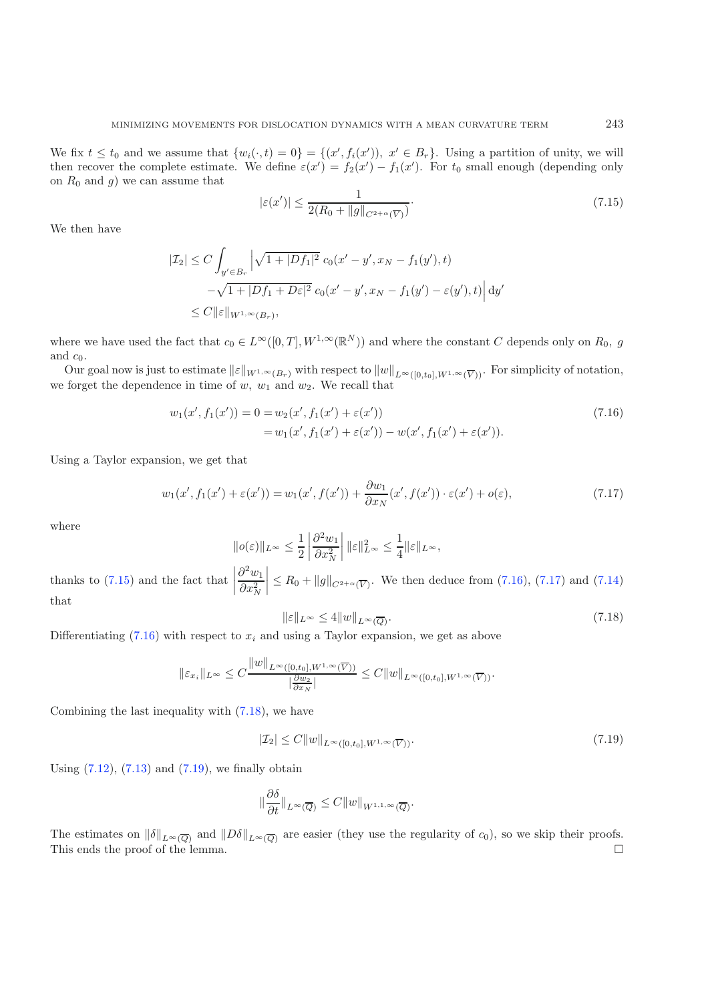<span id="page-29-0"></span>We fix  $t \leq t_0$  and we assume that  $\{w_i(\cdot,t)=0\} = \{(x',f_i(x')), x' \in B_r\}$ . Using a partition of unity, we will then recover the complete estimate. We define  $\varepsilon(x') = f_2(x') - f_1(x')$ . For  $t_0$  small enough (depending only on  $R_0$  and g) we can assume that

<span id="page-29-2"></span><span id="page-29-1"></span>
$$
|\varepsilon(x')| \le \frac{1}{2(R_0 + \|g\|_{C^{2+\alpha}(\overline{V})})}.\tag{7.15}
$$

We then have

$$
|\mathcal{I}_2| \le C \int_{y' \in B_r} \left| \sqrt{1 + |Df_1|^2} c_0(x' - y', x_N - f_1(y'), t) - \sqrt{1 + |Df_1 + D\varepsilon|^2} c_0(x' - y', x_N - f_1(y') - \varepsilon(y'), t) \right| dy' \n\le C ||\varepsilon||_{W^{1,\infty}(B_r)},
$$

where we have used the fact that  $c_0 \in L^{\infty}([0,T], W^{1,\infty}(\mathbb{R}^N))$  and where the constant C depends only on  $R_0$ , g and  $c_0$ .

Our goal now is just to estimate  $||\varepsilon||_{W^{1,\infty}(B_r)}$  with respect to  $||w||_{L^{\infty}([0,t_0],W^{1,\infty}(\overline{V}))}$ . For simplicity of notation, we forget the dependence in time of  $w, w_1$  and  $w_2$ . We recall that

<span id="page-29-3"></span>
$$
w_1(x', f_1(x')) = 0 = w_2(x', f_1(x') + \varepsilon(x'))
$$
  
= 
$$
w_1(x', f_1(x') + \varepsilon(x')) - w(x', f_1(x') + \varepsilon(x')).
$$
 (7.16)

Using a Taylor expansion, we get that

$$
w_1(x', f_1(x') + \varepsilon(x')) = w_1(x', f(x')) + \frac{\partial w_1}{\partial x_N}(x', f(x')) \cdot \varepsilon(x') + o(\varepsilon),\tag{7.17}
$$

where

<span id="page-29-4"></span>
$$
\|o(\varepsilon)\|_{L^\infty} \le \frac{1}{2} \left| \frac{\partial^2 w_1}{\partial x_N^2} \right| \|\varepsilon\|_{L^\infty}^2 \le \frac{1}{4} \|\varepsilon\|_{L^\infty},
$$

thanks to [\(7.15\)](#page-29-0) and the fact that  $\partial^2 w_1$  $\partial x_N^2$  $\left| \leq R_0 + ||g||_{C^{2+\alpha}(\overline{V})}$ . We then deduce from [\(7.16\)](#page-29-1), [\(7.17\)](#page-29-2) and [\(7.14\)](#page-28-0) that

$$
\|\varepsilon\|_{L^{\infty}} \le 4\|w\|_{L^{\infty}(\overline{Q})}.\tag{7.18}
$$

Differentiating  $(7.16)$  with respect to  $x_i$  and using a Taylor expansion, we get as above

$$
\|\varepsilon_{x_i}\|_{L^{\infty}} \leq C \frac{\|w\|_{L^{\infty}([0,t_0], W^{1,\infty}(\overline{V}))}}{\left|\frac{\partial w_2}{\partial x_N}\right|} \leq C \|w\|_{L^{\infty}([0,t_0], W^{1,\infty}(\overline{V}))}.
$$

Combining the last inequality with [\(7.18\)](#page-29-3), we have

$$
|\mathcal{I}_2| \le C ||w||_{L^{\infty}([0,t_0], W^{1,\infty}(\overline{V}))}.
$$
\n(7.19)

Using  $(7.12)$ ,  $(7.13)$  and  $(7.19)$ , we finally obtain

$$
\|\frac{\partial \delta}{\partial t}\|_{L^{\infty}(\overline{Q})} \leq C \|w\|_{W^{1,1,\infty}(\overline{Q})}.
$$

The estimates on  $\|\delta\|_{L^{\infty}(\overline{Q})}$  and  $\|D\delta\|_{L^{\infty}(\overline{Q})}$  are easier (they use the regularity of  $c_0$ ), so we skip their proofs.<br>This ends the proof of the lemma. This ends the proof of the lemma.